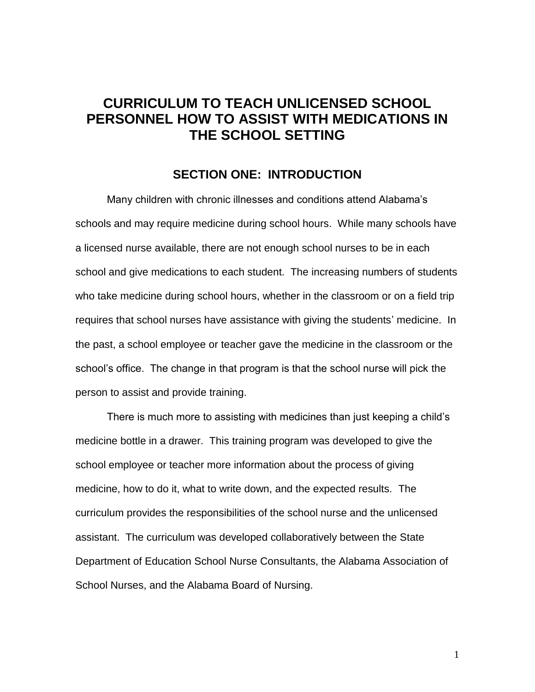# **PERSONNEL HOW TO ASSIST WITH MEDICATIONS IN CURRICULUM TO TEACH UNLICENSED SCHOOL THE SCHOOL SETTING**

#### **SECTION ONE: INTRODUCTION**

 schools and may require medicine during school hours. While many schools have a licensed nurse available, there are not enough school nurses to be in each school and give medications to each student. The increasing numbers of students who take medicine during school hours, whether in the classroom or on a field trip requires that school nurses have assistance with giving the students' medicine. In the past, a school employee or teacher gave the medicine in the classroom or the person to assist and provide training. Many children with chronic illnesses and conditions attend Alabama's school's office. The change in that program is that the school nurse will pick the

 medicine bottle in a drawer. This training program was developed to give the medicine, how to do it, what to write down, and the expected results. The curriculum provides the responsibilities of the school nurse and the unlicensed There is much more to assisting with medicines than just keeping a child's school employee or teacher more information about the process of giving assistant. The curriculum was developed collaboratively between the State Department of Education School Nurse Consultants, the Alabama Association of School Nurses, and the Alabama Board of Nursing.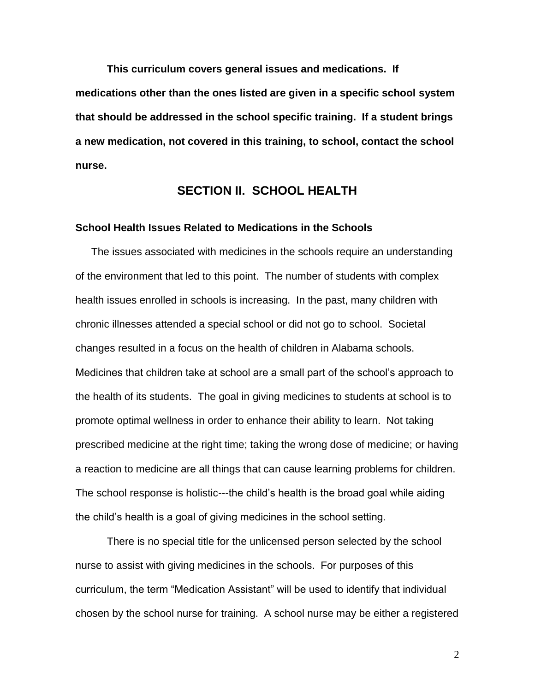**This curriculum covers general issues and medications. If that should be addressed in the school specific training. If a student brings medications other than the ones listed are given in a specific school system a new medication, not covered in this training, to school, contact the school nurse.** 

## **SECTION II. SCHOOL HEALTH**

#### **School Health Issues Related to Medications in the Schools**

 of the environment that led to this point. The number of students with complex health issues enrolled in schools is increasing. In the past, many children with Medicines that children take at school are a small part of the school's approach to the health of its students. The goal in giving medicines to students at school is to promote optimal wellness in order to enhance their ability to learn. Not taking prescribed medicine at the right time; taking the wrong dose of medicine; or having a reaction to medicine are all things that can cause learning problems for children. The issues associated with medicines in the schools require an understanding chronic illnesses attended a special school or did not go to school. Societal changes resulted in a focus on the health of children in Alabama schools. The school response is holistic---the child's health is the broad goal while aiding the child's health is a goal of giving medicines in the school setting.

There is no special title for the unlicensed person selected by the school nurse to assist with giving medicines in the schools. For purposes of this curriculum, the term "Medication Assistant" will be used to identify that individual chosen by the school nurse for training. A school nurse may be either a registered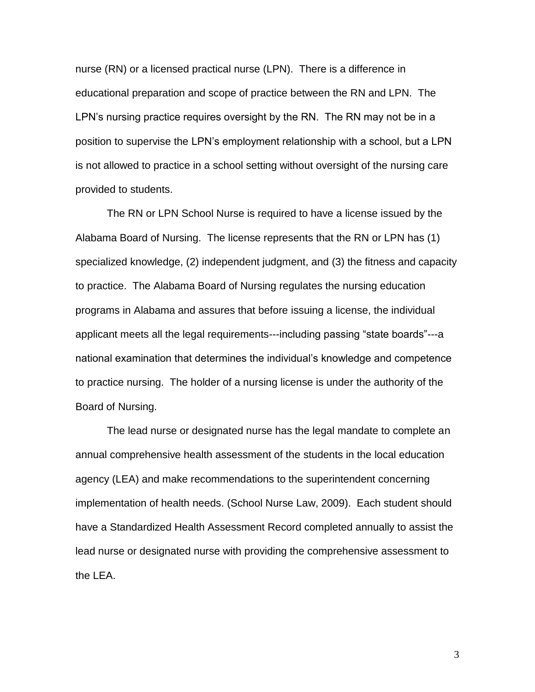educational preparation and scope of practice between the RN and LPN. The LPN's nursing practice requires oversight by the RN. The RN may not be in a nurse (RN) or a licensed practical nurse (LPN). There is a difference in position to supervise the LPN's employment relationship with a school, but a LPN is not allowed to practice in a school setting without oversight of the nursing care provided to students.

 programs in Alabama and assures that before issuing a license, the individual to practice nursing. The holder of a nursing license is under the authority of the The RN or LPN School Nurse is required to have a license issued by the Alabama Board of Nursing. The license represents that the RN or LPN has (1) specialized knowledge, (2) independent judgment, and (3) the fitness and capacity to practice. The Alabama Board of Nursing regulates the nursing education applicant meets all the legal requirements---including passing "state boards"---a national examination that determines the individual's knowledge and competence Board of Nursing.

 The lead nurse or designated nurse has the legal mandate to complete an annual comprehensive health assessment of the students in the local education the LEA. agency (LEA) and make recommendations to the superintendent concerning implementation of health needs. (School Nurse Law, 2009). Each student should have a Standardized Health Assessment Record completed annually to assist the lead nurse or designated nurse with providing the comprehensive assessment to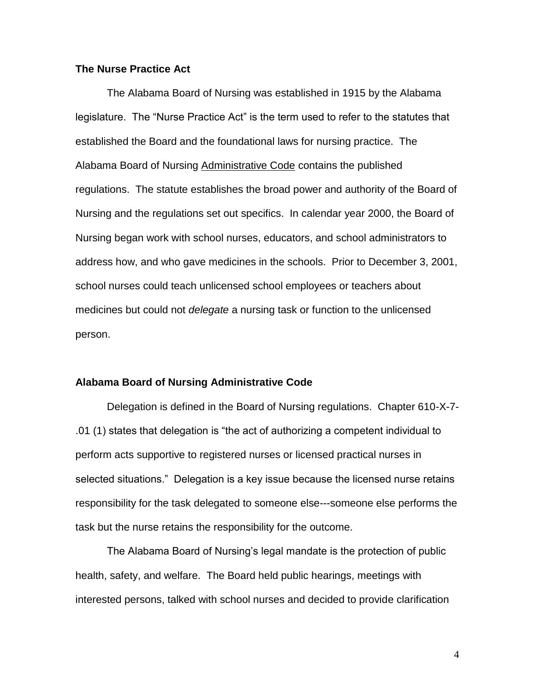#### **The Nurse Practice Act**

 established the Board and the foundational laws for nursing practice. The medicines but could not *delegate* a nursing task or function to the unlicensed The Alabama Board of Nursing was established in 1915 by the Alabama legislature. The "Nurse Practice Act" is the term used to refer to the statutes that Alabama Board of Nursing Administrative Code contains the published regulations. The statute establishes the broad power and authority of the Board of Nursing and the regulations set out specifics. In calendar year 2000, the Board of Nursing began work with school nurses, educators, and school administrators to address how, and who gave medicines in the schools. Prior to December 3, 2001, school nurses could teach unlicensed school employees or teachers about person.

#### **Alabama Board of Nursing Administrative Code**

task but the nurse retains the responsibility for the outcome. Delegation is defined in the Board of Nursing regulations. Chapter 610-X-7- .01 (1) states that delegation is "the act of authorizing a competent individual to perform acts supportive to registered nurses or licensed practical nurses in selected situations." Delegation is a key issue because the licensed nurse retains responsibility for the task delegated to someone else---someone else performs the

 interested persons, talked with school nurses and decided to provide clarification The Alabama Board of Nursing's legal mandate is the protection of public health, safety, and welfare. The Board held public hearings, meetings with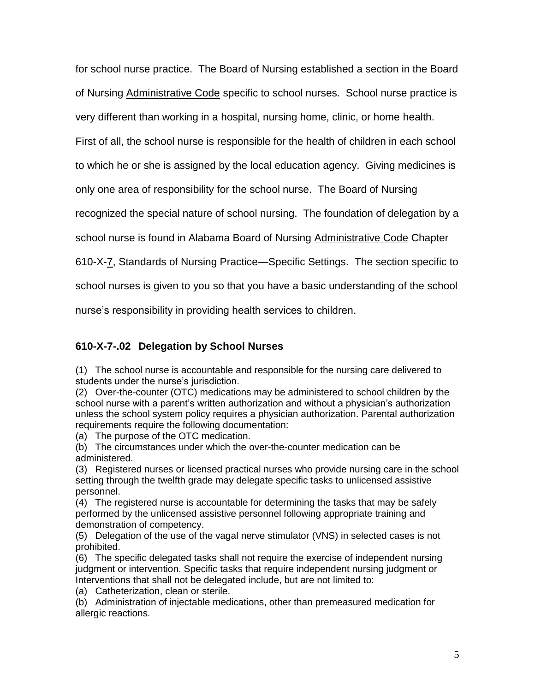for school nurse practice. The Board of Nursing established a section in the Board of Nursing Administrative Code specific to school nurses. School nurse practice is

very different than working in a hospital, nursing home, clinic, or home health.

First of all, the school nurse is responsible for the health of children in each school

to which he or she is assigned by the local education agency. Giving medicines is

only one area of responsibility for the school nurse. The Board of Nursing

recognized the special nature of school nursing. The foundation of delegation by a

school nurse is found in Alabama Board of Nursing Administrative Code Chapter

610-X-7, Standards of Nursing Practice—Specific Settings. The section specific to

school nurses is given to you so that you have a basic understanding of the school

nurse's responsibility in providing health services to children.

# **610-X-7-.02 Delegation by School Nurses**

 (1) The school nurse is accountable and responsible for the nursing care delivered to students under the nurse's jurisdiction.

 (2) Over-the-counter (OTC) medications may be administered to school children by the school nurse with a parent's written authorization and without a physician's authorization unless the school system policy requires a physician authorization. Parental authorization requirements require the following documentation:

(a) The purpose of the OTC medication.

 (b) The circumstances under which the over-the-counter medication can be administered.

 (3) Registered nurses or licensed practical nurses who provide nursing care in the school setting through the twelfth grade may delegate specific tasks to unlicensed assistive personnel.

 (4) The registered nurse is accountable for determining the tasks that may be safely performed by the unlicensed assistive personnel following appropriate training and demonstration of competency.

 (5) Delegation of the use of the vagal nerve stimulator (VNS) in selected cases is not prohibited.

 (6) The specific delegated tasks shall not require the exercise of independent nursing judgment or intervention. Specific tasks that require independent nursing judgment or Interventions that shall not be delegated include, but are not limited to:

(a) Catheterization, clean or sterile.

 (b) Administration of injectable medications, other than premeasured medication for allergic reactions.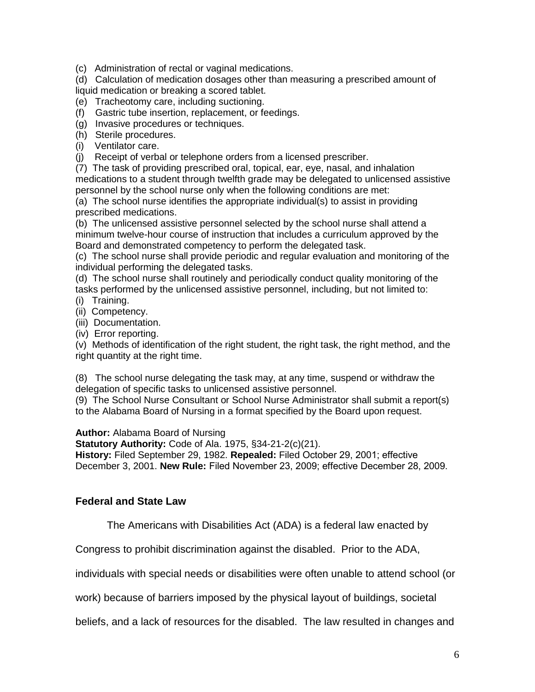(c) Administration of rectal or vaginal medications.

 (d) Calculation of medication dosages other than measuring a prescribed amount of liquid medication or breaking a scored tablet.

(e) Tracheotomy care, including suctioning.

- (f) Gastric tube insertion, replacement, or feedings.
- (g) Invasive procedures or techniques.
- (h) Sterile procedures.
- (i) Ventilator care.

(j) Receipt of verbal or telephone orders from a licensed prescriber.

 (7) The task of providing prescribed oral, topical, ear, eye, nasal, and inhalation medications to a student through twelfth grade may be delegated to unlicensed assistive personnel by the school nurse only when the following conditions are met:

 (a) The school nurse identifies the appropriate individual(s) to assist in providing prescribed medications.

 (b) The unlicensed assistive personnel selected by the school nurse shall attend a minimum twelve-hour course of instruction that includes a curriculum approved by the Board and demonstrated competency to perform the delegated task.

 (c) The school nurse shall provide periodic and regular evaluation and monitoring of the individual performing the delegated tasks.

 (d) The school nurse shall routinely and periodically conduct quality monitoring of the tasks performed by the unlicensed assistive personnel, including, but not limited to:

(i) Training.

(ii) Competency.

(iii) Documentation.

(iv) Error reporting.

 (v) Methods of identification of the right student, the right task, the right method, and the right quantity at the right time.

 (8) The school nurse delegating the task may, at any time, suspend or withdraw the delegation of specific tasks to unlicensed assistive personnel.

 (9) The School Nurse Consultant or School Nurse Administrator shall submit a report(s) to the Alabama Board of Nursing in a format specified by the Board upon request.

**Author:** Alabama Board of Nursing

 **Statutory Authority:** Code of Ala. 1975, §34-21-2(c)(21).

 **History:** Filed September 29, 1982. **Repealed:** Filed October 29, 2001; effective December 3, 2001. **New Rule:** Filed November 23, 2009; effective December 28, 2009.

#### **Federal and State Law**

The Americans with Disabilities Act (ADA) is a federal law enacted by

Congress to prohibit discrimination against the disabled. Prior to the ADA,

individuals with special needs or disabilities were often unable to attend school (or

work) because of barriers imposed by the physical layout of buildings, societal

beliefs, and a lack of resources for the disabled. The law resulted in changes and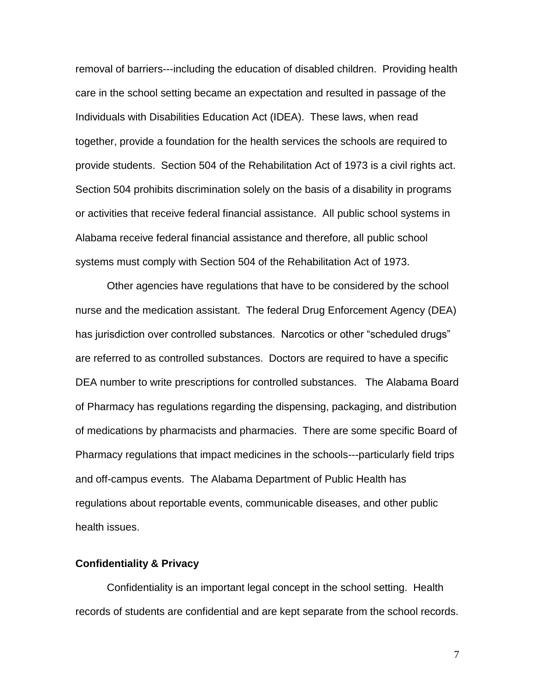removal of barriers---including the education of disabled children. Providing health care in the school setting became an expectation and resulted in passage of the Individuals with Disabilities Education Act (IDEA). These laws, when read together, provide a foundation for the health services the schools are required to provide students. Section 504 of the Rehabilitation Act of 1973 is a civil rights act. Section 504 prohibits discrimination solely on the basis of a disability in programs or activities that receive federal financial assistance. All public school systems in Alabama receive federal financial assistance and therefore, all public school systems must comply with Section 504 of the Rehabilitation Act of 1973.

 Other agencies have regulations that have to be considered by the school nurse and the medication assistant. The federal Drug Enforcement Agency (DEA) are referred to as controlled substances. Doctors are required to have a specific DEA number to write prescriptions for controlled substances. The Alabama Board has jurisdiction over controlled substances. Narcotics or other "scheduled drugs" of Pharmacy has regulations regarding the dispensing, packaging, and distribution of medications by pharmacists and pharmacies. There are some specific Board of Pharmacy regulations that impact medicines in the schools---particularly field trips and off-campus events. The Alabama Department of Public Health has regulations about reportable events, communicable diseases, and other public health issues.

#### **Confidentiality & Privacy**

 records of students are confidential and are kept separate from the school records. Confidentiality is an important legal concept in the school setting. Health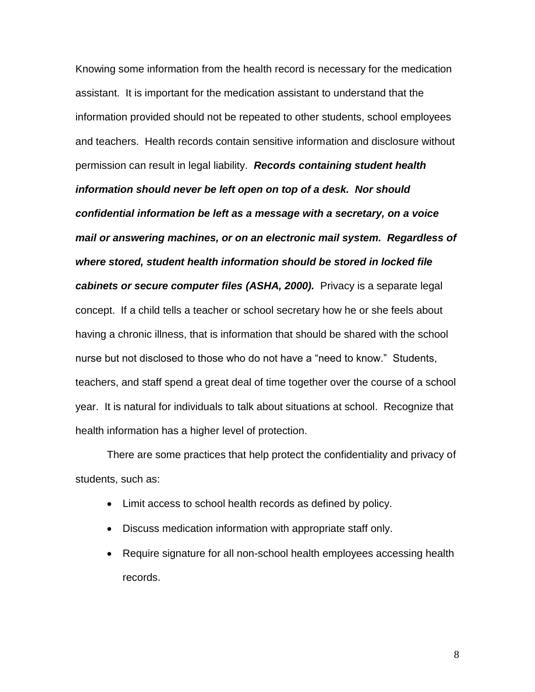Knowing some information from the health record is necessary for the medication assistant. It is important for the medication assistant to understand that the  *mail or answering machines, or on an electronic mail system. Regardless of cabinets or secure computer files (ASHA, 2000).* Privacy is a separate legal concept. If a child tells a teacher or school secretary how he or she feels about information provided should not be repeated to other students, school employees and teachers. Health records contain sensitive information and disclosure without permission can result in legal liability. *Records containing student health information should never be left open on top of a desk. Nor should confidential information be left as a message with a secretary, on a voice where stored, student health information should be stored in locked file*  having a chronic illness, that is information that should be shared with the school nurse but not disclosed to those who do not have a "need to know." Students, teachers, and staff spend a great deal of time together over the course of a school year. It is natural for individuals to talk about situations at school. Recognize that health information has a higher level of protection.

 students, such as: There are some practices that help protect the confidentiality and privacy of

- Limit access to school health records as defined by policy.
- Discuss medication information with appropriate staff only.
- Require signature for all non-school health employees accessing health records.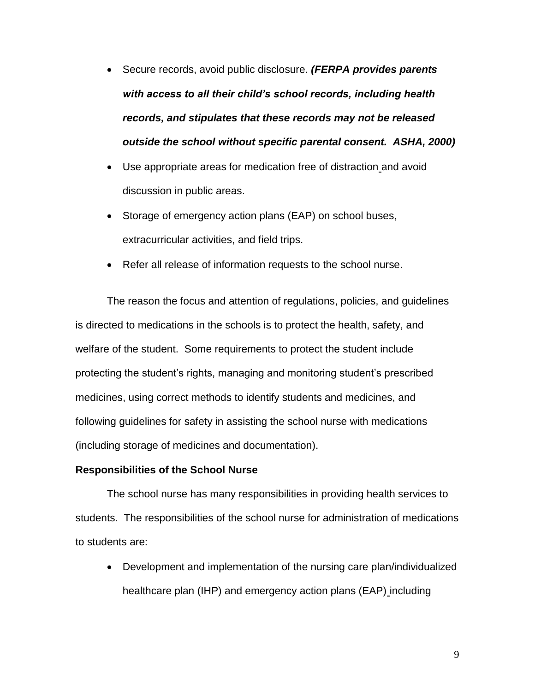- Secure records, avoid public disclosure. *(FERPA provides parents with access to all their child's school records, including health records, and stipulates that these records may not be released outside the school without specific parental consent. ASHA, 2000)*
- Use appropriate areas for medication free of distraction and avoid discussion in public areas.
- extracurricular activities, and field trips. • Storage of emergency action plans (EAP) on school buses,
- Refer all release of information requests to the school nurse.

 The reason the focus and attention of regulations, policies, and guidelines is directed to medications in the schools is to protect the health, safety, and welfare of the student. Some requirements to protect the student include protecting the student's rights, managing and monitoring student's prescribed medicines, using correct methods to identify students and medicines, and following guidelines for safety in assisting the school nurse with medications (including storage of medicines and documentation).

#### **Responsibilities of the School Nurse**

 students. The responsibilities of the school nurse for administration of medications to students are: The school nurse has many responsibilities in providing health services to

 Development and implementation of the nursing care plan/individualized healthcare plan (IHP) and emergency action plans (EAP) including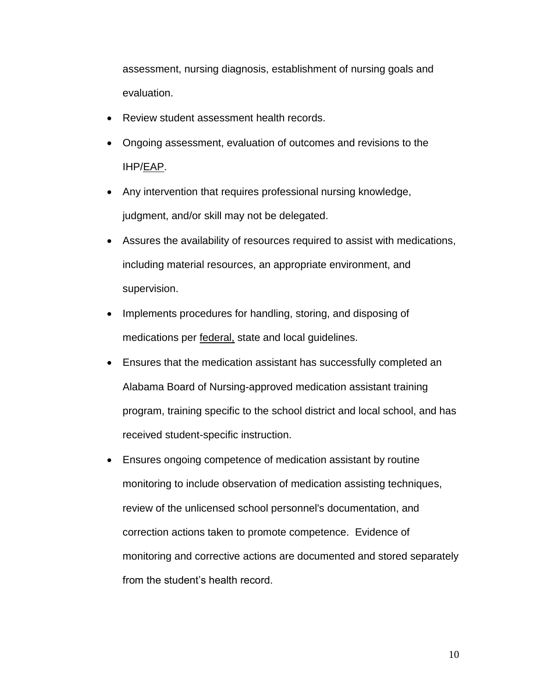assessment, nursing diagnosis, establishment of nursing goals and evaluation.

- Review student assessment health records.
- Ongoing assessment, evaluation of outcomes and revisions to the IHP/EAP.
- judgment, and/or skill may not be delegated. Any intervention that requires professional nursing knowledge,
- Assures the availability of resources required to assist with medications, including material resources, an appropriate environment, and supervision.
- Implements procedures for handling, storing, and disposing of medications per federal, state and local guidelines.
- Ensures that the medication assistant has successfully completed an Alabama Board of Nursing-approved medication assistant training program, training specific to the school district and local school, and has received student-specific instruction.
- correction actions taken to promote competence. Evidence of Ensures ongoing competence of medication assistant by routine monitoring to include observation of medication assisting techniques, review of the unlicensed school personnel's documentation, and monitoring and corrective actions are documented and stored separately from the student's health record.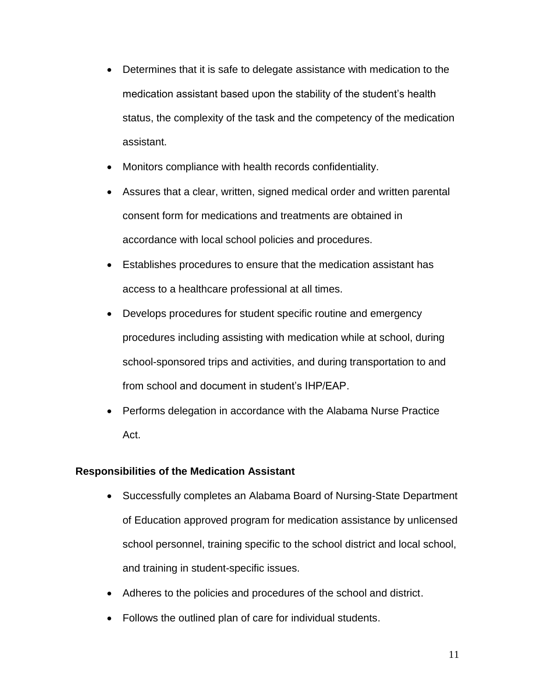- Determines that it is safe to delegate assistance with medication to the medication assistant based upon the stability of the student's health status, the complexity of the task and the competency of the medication assistant.
- Monitors compliance with health records confidentiality.
- Assures that a clear, written, signed medical order and written parental consent form for medications and treatments are obtained in accordance with local school policies and procedures.
- Establishes procedures to ensure that the medication assistant has access to a healthcare professional at all times.
- school-sponsored trips and activities, and during transportation to and Develops procedures for student specific routine and emergency procedures including assisting with medication while at school, during from school and document in student's IHP/EAP.
- Performs delegation in accordance with the Alabama Nurse Practice Act.

#### **Responsibilities of the Medication Assistant**

- of Education approved program for medication assistance by unlicensed Successfully completes an Alabama Board of Nursing-State Department school personnel, training specific to the school district and local school, and training in student-specific issues.
- Adheres to the policies and procedures of the school and district.
- Follows the outlined plan of care for individual students.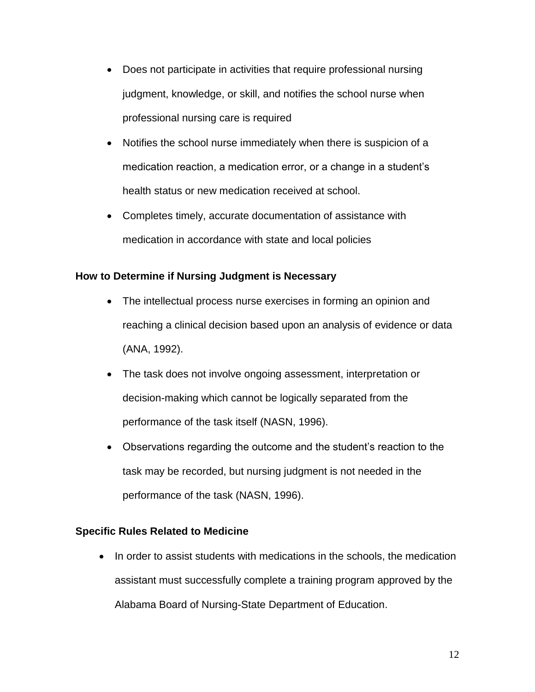- Does not participate in activities that require professional nursing judgment, knowledge, or skill, and notifies the school nurse when professional nursing care is required
- Notifies the school nurse immediately when there is suspicion of a medication reaction, a medication error, or a change in a student's health status or new medication received at school.
- Completes timely, accurate documentation of assistance with medication in accordance with state and local policies

## **How to Determine if Nursing Judgment is Necessary**

- reaching a clinical decision based upon an analysis of evidence or data The intellectual process nurse exercises in forming an opinion and (ANA, 1992).
- decision-making which cannot be logically separated from the The task does not involve ongoing assessment, interpretation or performance of the task itself (NASN, 1996).
- Observations regarding the outcome and the student's reaction to the task may be recorded, but nursing judgment is not needed in the performance of the task (NASN, 1996).

## **Specific Rules Related to Medicine**

• In order to assist students with medications in the schools, the medication assistant must successfully complete a training program approved by the Alabama Board of Nursing-State Department of Education.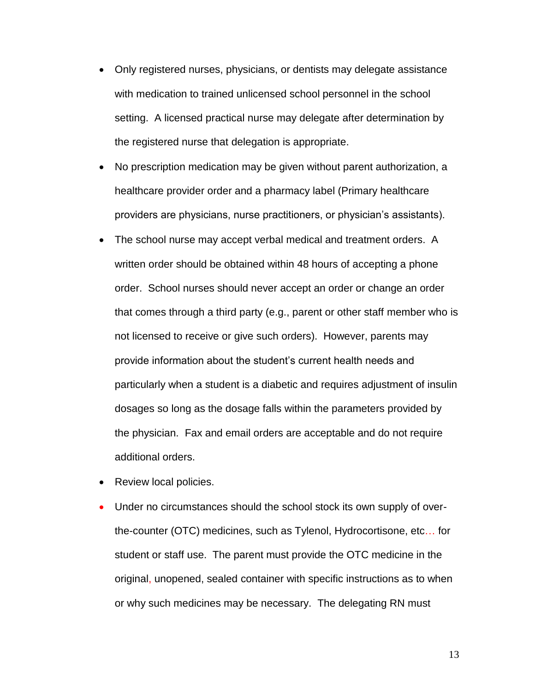- Only registered nurses, physicians, or dentists may delegate assistance with medication to trained unlicensed school personnel in the school setting. A licensed practical nurse may delegate after determination by the registered nurse that delegation is appropriate.
- No prescription medication may be given without parent authorization, a healthcare provider order and a pharmacy label (Primary healthcare providers are physicians, nurse practitioners, or physician's assistants).
- The school nurse may accept verbal medical and treatment orders. A written order should be obtained within 48 hours of accepting a phone order. School nurses should never accept an order or change an order not licensed to receive or give such orders). However, parents may the physician. Fax and email orders are acceptable and do not require that comes through a third party (e.g., parent or other staff member who is provide information about the student's current health needs and particularly when a student is a diabetic and requires adjustment of insulin dosages so long as the dosage falls within the parameters provided by additional orders.
- Review local policies.
- the-counter (OTC) medicines, such as Tylenol, Hydrocortisone, etc… for original, unopened, sealed container with specific instructions as to when Under no circumstances should the school stock its own supply of overstudent or staff use. The parent must provide the OTC medicine in the or why such medicines may be necessary. The delegating RN must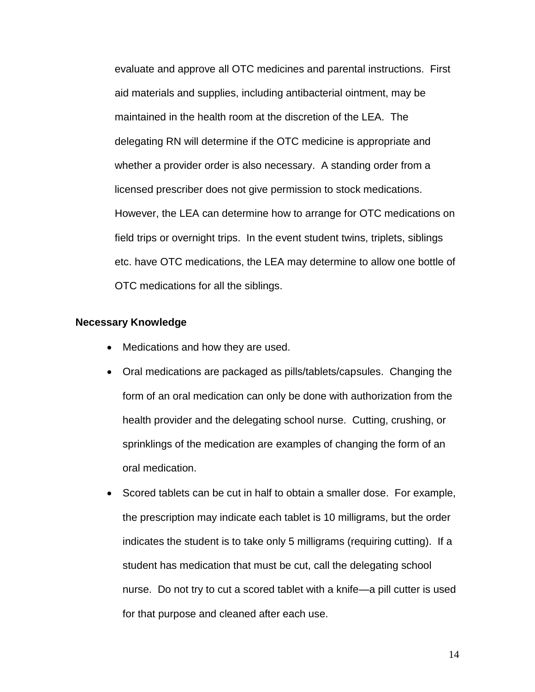evaluate and approve all OTC medicines and parental instructions. First aid materials and supplies, including antibacterial ointment, may be maintained in the health room at the discretion of the LEA. The whether a provider order is also necessary. A standing order from a licensed prescriber does not give permission to stock medications. field trips or overnight trips. In the event student twins, triplets, siblings etc. have OTC medications, the LEA may determine to allow one bottle of delegating RN will determine if the OTC medicine is appropriate and However, the LEA can determine how to arrange for OTC medications on OTC medications for all the siblings.

#### **Necessary Knowledge**

- Medications and how they are used.
- form of an oral medication can only be done with authorization from the health provider and the delegating school nurse. Cutting, crushing, or sprinklings of the medication are examples of changing the form of an Oral medications are packaged as pills/tablets/capsules. Changing the oral medication.
- Scored tablets can be cut in half to obtain a smaller dose. For example, nurse. Do not try to cut a scored tablet with a knife—a pill cutter is used the prescription may indicate each tablet is 10 milligrams, but the order indicates the student is to take only 5 milligrams (requiring cutting). If a student has medication that must be cut, call the delegating school for that purpose and cleaned after each use.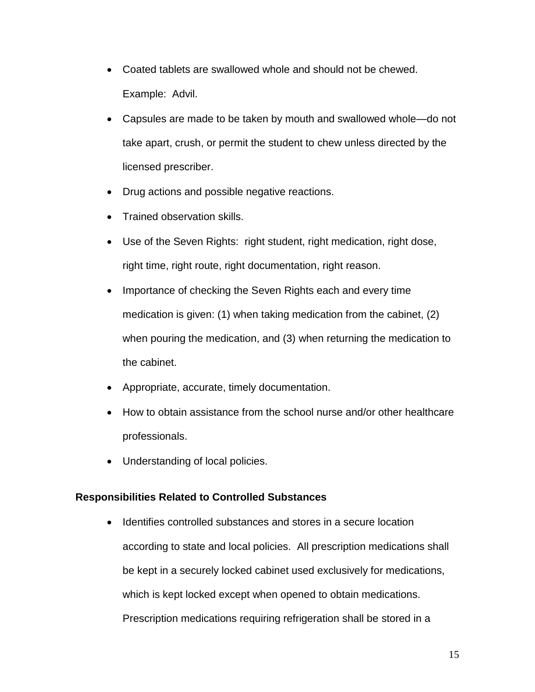- Example: Advil. Coated tablets are swallowed whole and should not be chewed.
- take apart, crush, or permit the student to chew unless directed by the licensed prescriber. Capsules are made to be taken by mouth and swallowed whole—do not
- Drug actions and possible negative reactions.
- Trained observation skills.
- Use of the Seven Rights: right student, right medication, right dose, right time, right route, right documentation, right reason.
- when pouring the medication, and (3) when returning the medication to • Importance of checking the Seven Rights each and every time medication is given: (1) when taking medication from the cabinet, (2) the cabinet.
- Appropriate, accurate, timely documentation.
- How to obtain assistance from the school nurse and/or other healthcare professionals.
- Understanding of local policies.

## **Responsibilities Related to Controlled Substances**

 according to state and local policies. All prescription medications shall which is kept locked except when opened to obtain medications. Prescription medications requiring refrigeration shall be stored in a • Identifies controlled substances and stores in a secure location be kept in a securely locked cabinet used exclusively for medications,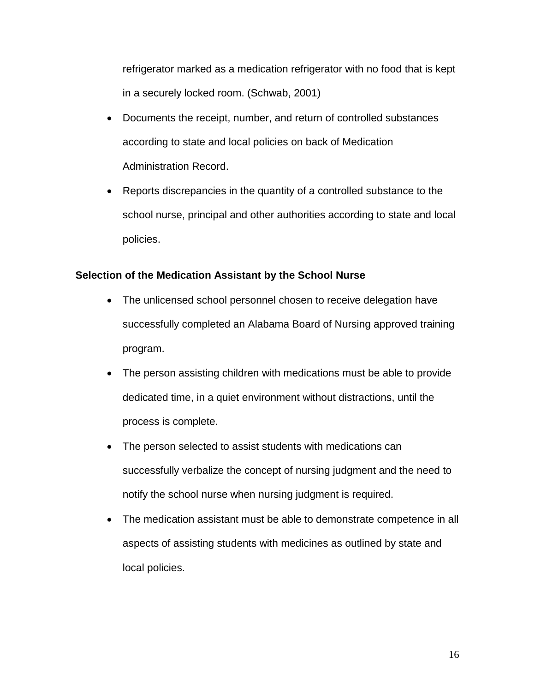refrigerator marked as a medication refrigerator with no food that is kept in a securely locked room. (Schwab, 2001)

- according to state and local policies on back of Medication Documents the receipt, number, and return of controlled substances Administration Record.
- Reports discrepancies in the quantity of a controlled substance to the school nurse, principal and other authorities according to state and local policies.

## **Selection of the Medication Assistant by the School Nurse**

- The unlicensed school personnel chosen to receive delegation have successfully completed an Alabama Board of Nursing approved training program.
- dedicated time, in a quiet environment without distractions, until the The person assisting children with medications must be able to provide process is complete.
- successfully verbalize the concept of nursing judgment and the need to • The person selected to assist students with medications can notify the school nurse when nursing judgment is required.
- The medication assistant must be able to demonstrate competence in all aspects of assisting students with medicines as outlined by state and local policies.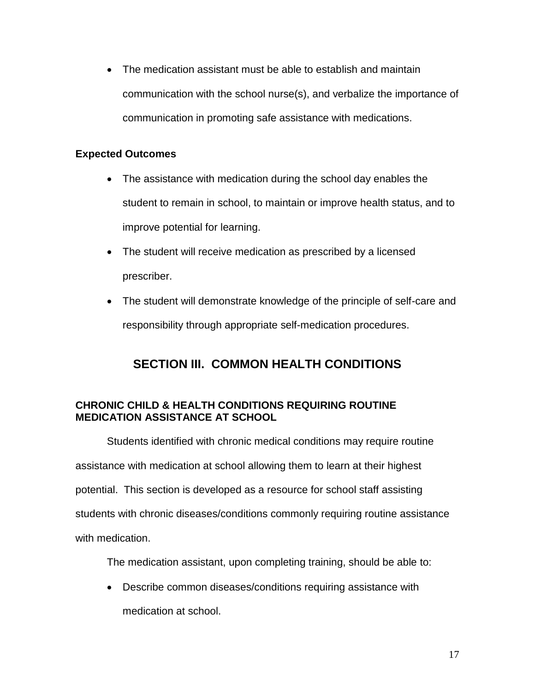The medication assistant must be able to establish and maintain communication with the school nurse(s), and verbalize the importance of communication in promoting safe assistance with medications.

## **Expected Outcomes**

- student to remain in school, to maintain or improve health status, and to • The assistance with medication during the school day enables the improve potential for learning.
- The student will receive medication as prescribed by a licensed prescriber.
- The student will demonstrate knowledge of the principle of self-care and responsibility through appropriate self-medication procedures.

# **SECTION III. COMMON HEALTH CONDITIONS**

## **CHRONIC CHILD & HEALTH CONDITIONS REQUIRING ROUTINE MEDICATION ASSISTANCE AT SCHOOL**

 assistance with medication at school allowing them to learn at their highest Students identified with chronic medical conditions may require routine potential. This section is developed as a resource for school staff assisting students with chronic diseases/conditions commonly requiring routine assistance with medication.

The medication assistant, upon completing training, should be able to:

 Describe common diseases/conditions requiring assistance with medication at school.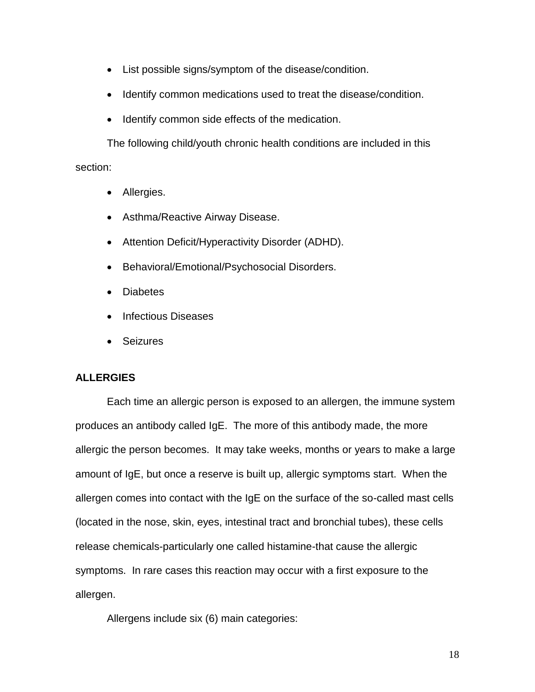- List possible signs/symptom of the disease/condition.
- Identify common medications used to treat the disease/condition.
- Identify common side effects of the medication.

The following child/youth chronic health conditions are included in this section:

- Allergies.
- Asthma/Reactive Airway Disease.
- Attention Deficit/Hyperactivity Disorder (ADHD).
- Behavioral/Emotional/Psychosocial Disorders.
- Diabetes
- Infectious Diseases
- Seizures

#### **ALLERGIES**

 Each time an allergic person is exposed to an allergen, the immune system produces an antibody called IgE. The more of this antibody made, the more allergic the person becomes. It may take weeks, months or years to make a large symptoms. In rare cases this reaction may occur with a first exposure to the amount of IgE, but once a reserve is built up, allergic symptoms start. When the allergen comes into contact with the IgE on the surface of the so-called mast cells (located in the nose, skin, eyes, intestinal tract and bronchial tubes), these cells release chemicals-particularly one called histamine-that cause the allergic allergen.

Allergens include six (6) main categories: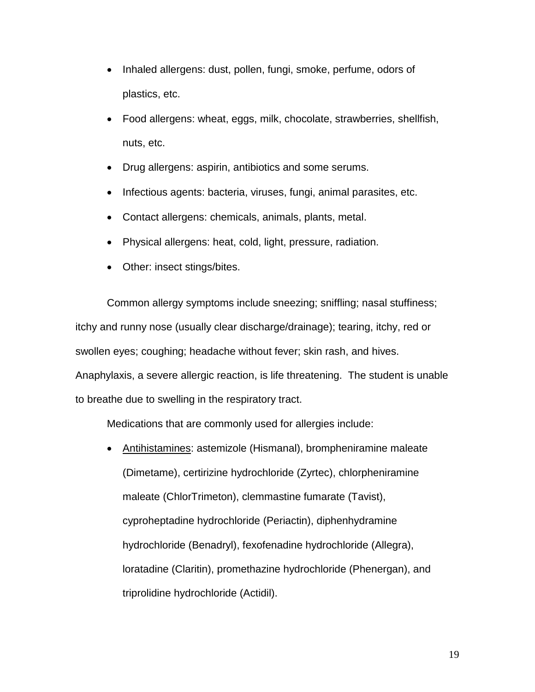- Inhaled allergens: dust, pollen, fungi, smoke, perfume, odors of plastics, etc.
- nuts, etc. Food allergens: wheat, eggs, milk, chocolate, strawberries, shellfish,
- Drug allergens: aspirin, antibiotics and some serums.
- Infectious agents: bacteria, viruses, fungi, animal parasites, etc.
- Contact allergens: chemicals, animals, plants, metal.
- Physical allergens: heat, cold, light, pressure, radiation.
- Other: insect stings/bites.

Common allergy symptoms include sneezing; sniffling; nasal stuffiness; itchy and runny nose (usually clear discharge/drainage); tearing, itchy, red or swollen eyes; coughing; headache without fever; skin rash, and hives. Anaphylaxis, a severe allergic reaction, is life threatening. The student is unable to breathe due to swelling in the respiratory tract.

Medications that are commonly used for allergies include:

• Antihistamines: astemizole (Hismanal), brompheniramine maleate (Dimetame), certirizine hydrochloride (Zyrtec), chlorpheniramine maleate (ChlorTrimeton), clemmastine fumarate (Tavist), cyproheptadine hydrochloride (Periactin), diphenhydramine hydrochloride (Benadryl), fexofenadine hydrochloride (Allegra), loratadine (Claritin), promethazine hydrochloride (Phenergan), and triprolidine hydrochloride (Actidil).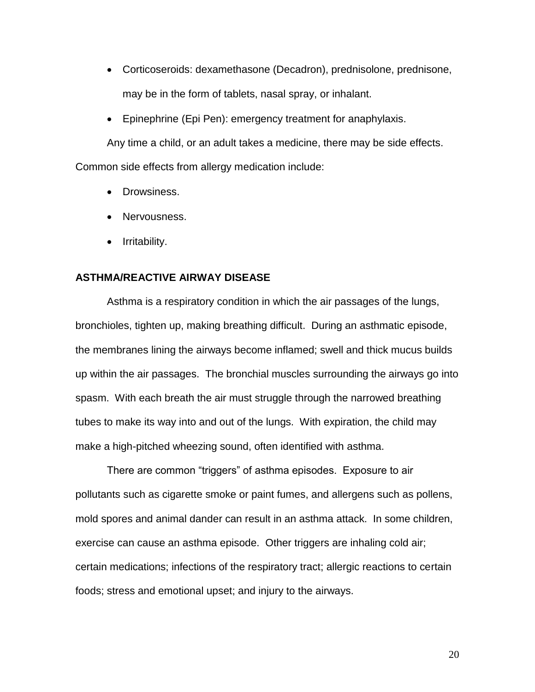- Corticoseroids: dexamethasone (Decadron), prednisolone, prednisone, may be in the form of tablets, nasal spray, or inhalant.
- Epinephrine (Epi Pen): emergency treatment for anaphylaxis.

 Any time a child, or an adult takes a medicine, there may be side effects. Common side effects from allergy medication include:

- Drowsiness.
- Nervousness.
- Irritability.

#### **ASTHMA/REACTIVE AIRWAY DISEASE**

 tubes to make its way into and out of the lungs. With expiration, the child may Asthma is a respiratory condition in which the air passages of the lungs, bronchioles, tighten up, making breathing difficult. During an asthmatic episode, the membranes lining the airways become inflamed; swell and thick mucus builds up within the air passages. The bronchial muscles surrounding the airways go into spasm. With each breath the air must struggle through the narrowed breathing make a high-pitched wheezing sound, often identified with asthma.

 mold spores and animal dander can result in an asthma attack. In some children, exercise can cause an asthma episode. Other triggers are inhaling cold air; There are common "triggers" of asthma episodes. Exposure to air pollutants such as cigarette smoke or paint fumes, and allergens such as pollens, certain medications; infections of the respiratory tract; allergic reactions to certain foods; stress and emotional upset; and injury to the airways.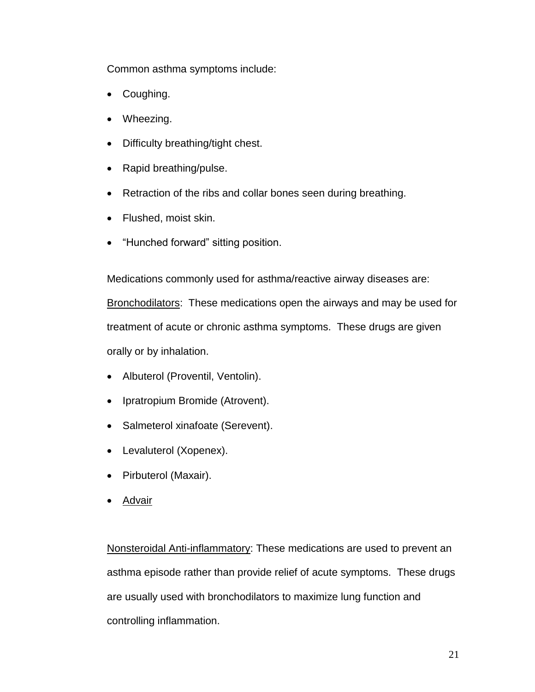Common asthma symptoms include:

- Coughing.
- Wheezing.
- Difficulty breathing/tight chest.
- Rapid breathing/pulse.
- Retraction of the ribs and collar bones seen during breathing.
- Flushed, moist skin.
- "Hunched forward" sitting position.

Bronchodilators: These medications open the airways and may be used for Medications commonly used for asthma/reactive airway diseases are: treatment of acute or chronic asthma symptoms. These drugs are given orally or by inhalation.

- Albuterol (Proventil, Ventolin).
- Ipratropium Bromide (Atrovent).
- Salmeterol xinafoate (Serevent).
- Levaluterol (Xopenex).
- Pirbuterol (Maxair).
- Advair

Nonsteroidal Anti-inflammatory: These medications are used to prevent an are usually used with bronchodilators to maximize lung function and asthma episode rather than provide relief of acute symptoms. These drugs controlling inflammation.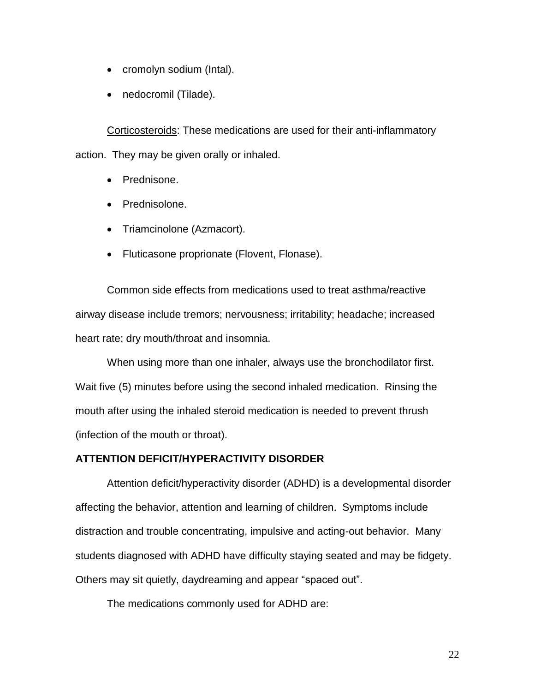- cromolyn sodium (Intal).
- nedocromil (Tilade).

Corticosteroids: These medications are used for their anti-inflammatory action. They may be given orally or inhaled.

- Prednisone.
- Prednisolone.
- Triamcinolone (Azmacort).
- Fluticasone proprionate (Flovent, Flonase).

Common side effects from medications used to treat asthma/reactive airway disease include tremors; nervousness; irritability; headache; increased heart rate; dry mouth/throat and insomnia.

When using more than one inhaler, always use the bronchodilator first. When using more than one inhaler, always use the bronchodilator first. Wait five (5) minutes before using the second inhaled medication. Rinsing the (infection of the mouth or throat). mouth after using the inhaled steroid medication is needed to prevent thrush

#### **ATTENTION DEFICIT/HYPERACTIVITY DISORDER**

 students diagnosed with ADHD have difficulty staying seated and may be fidgety. Attention deficit/hyperactivity disorder (ADHD) is a developmental disorder affecting the behavior, attention and learning of children. Symptoms include distraction and trouble concentrating, impulsive and acting-out behavior. Many Others may sit quietly, daydreaming and appear "spaced out".

The medications commonly used for ADHD are: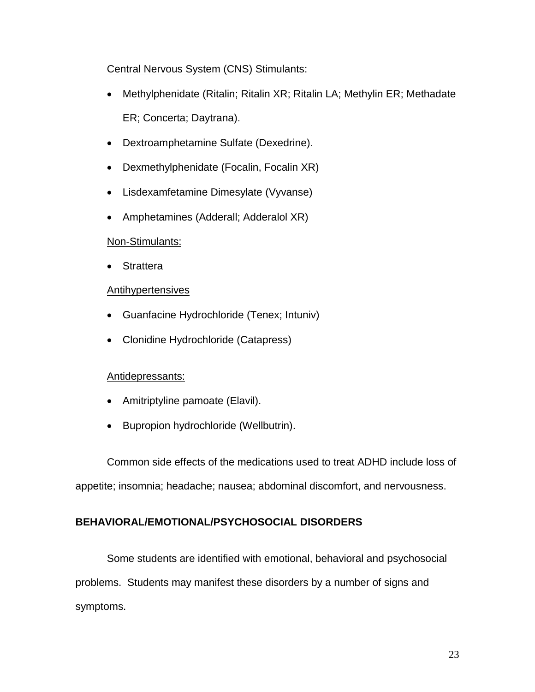## Central Nervous System (CNS) Stimulants:

- Methylphenidate (Ritalin; Ritalin XR; Ritalin LA; Methylin ER; Methadate ER; Concerta; Daytrana).
- Dextroamphetamine Sulfate (Dexedrine).
- Dexmethylphenidate (Focalin, Focalin XR)
- Lisdexamfetamine Dimesylate (Vyvanse)
- Amphetamines (Adderall; Adderalol XR)

### Non-Stimulants:

Strattera

### Antihypertensives

- Guanfacine Hydrochloride (Tenex; Intuniv)
- Clonidine Hydrochloride (Catapress)

#### Antidepressants:

- Amitriptyline pamoate (Elavil).
- Bupropion hydrochloride (Wellbutrin).

 Common side effects of the medications used to treat ADHD include loss of appetite; insomnia; headache; nausea; abdominal discomfort, and nervousness.

## **BEHAVIORAL/EMOTIONAL/PSYCHOSOCIAL DISORDERS**

Some students are identified with emotional, behavioral and psychosocial problems. Students may manifest these disorders by a number of signs and symptoms.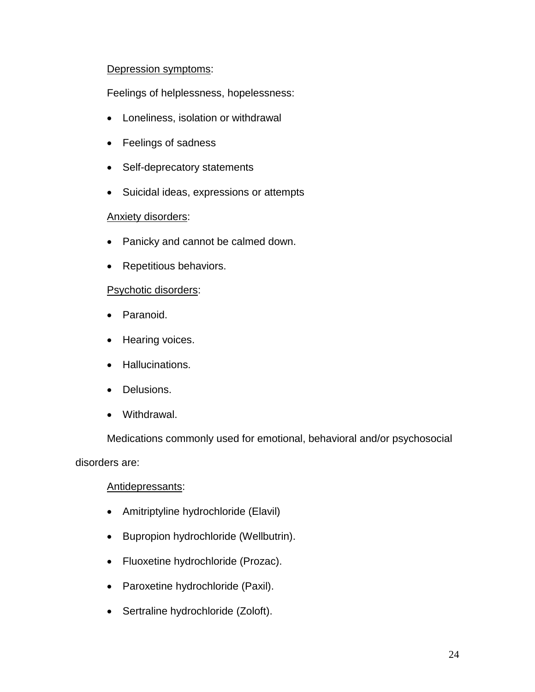#### Depression symptoms:

Feelings of helplessness, hopelessness:

- Loneliness, isolation or withdrawal
- Feelings of sadness
- Self-deprecatory statements
- Suicidal ideas, expressions or attempts

#### Anxiety disorders:

- Panicky and cannot be calmed down.
- Repetitious behaviors.

#### Psychotic disorders:

- Paranoid.
- Hearing voices.
- Hallucinations.
- Delusions.
- Withdrawal.

Medications commonly used for emotional, behavioral and/or psychosocial

disorders are:

#### Antidepressants:

- Amitriptyline hydrochloride (Elavil)
- Bupropion hydrochloride (Wellbutrin).
- Fluoxetine hydrochloride (Prozac).
- Paroxetine hydrochloride (Paxil).
- Sertraline hydrochloride (Zoloft).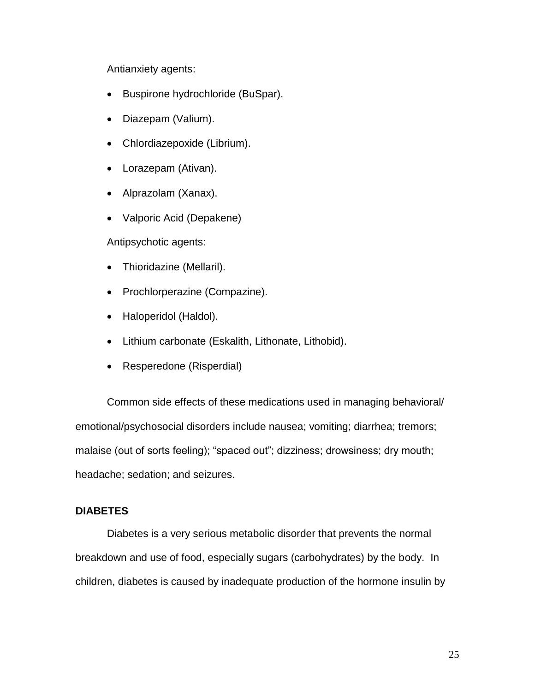#### Antianxiety agents:

- Buspirone hydrochloride (BuSpar).
- Diazepam (Valium).
- Chlordiazepoxide (Librium).
- Lorazepam (Ativan).
- Alprazolam (Xanax).
- Valporic Acid (Depakene)

#### Antipsychotic agents:

- Thioridazine (Mellaril).
- Prochlorperazine (Compazine).
- Haloperidol (Haldol).
- Lithium carbonate (Eskalith, Lithonate, Lithobid).
- Resperedone (Risperdial)

 Common side effects of these medications used in managing behavioral/ emotional/psychosocial disorders include nausea; vomiting; diarrhea; tremors; malaise (out of sorts feeling); "spaced out"; dizziness; drowsiness; dry mouth; headache; sedation; and seizures.

#### **DIABETES**

 breakdown and use of food, especially sugars (carbohydrates) by the body. In children, diabetes is caused by inadequate production of the hormone insulin by Diabetes is a very serious metabolic disorder that prevents the normal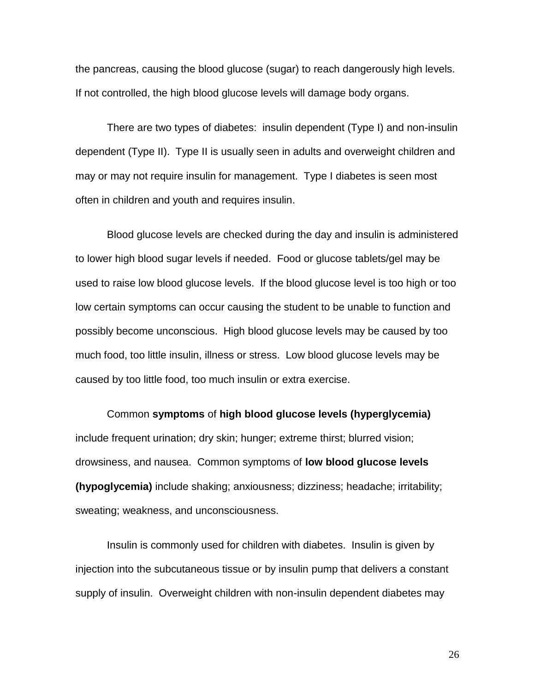the pancreas, causing the blood glucose (sugar) to reach dangerously high levels. If not controlled, the high blood glucose levels will damage body organs.

 dependent (Type II). Type II is usually seen in adults and overweight children and may or may not require insulin for management. Type I diabetes is seen most often in children and youth and requires insulin. There are two types of diabetes: insulin dependent (Type I) and non-insulin

 used to raise low blood glucose levels. If the blood glucose level is too high or too low certain symptoms can occur causing the student to be unable to function and caused by too little food, too much insulin or extra exercise. Blood glucose levels are checked during the day and insulin is administered to lower high blood sugar levels if needed. Food or glucose tablets/gel may be possibly become unconscious. High blood glucose levels may be caused by too much food, too little insulin, illness or stress. Low blood glucose levels may be

 Common **symptoms** of **high blood glucose levels (hyperglycemia)**  drowsiness, and nausea. Common symptoms of **low blood glucose levels**  include frequent urination; dry skin; hunger; extreme thirst; blurred vision; **(hypoglycemia)** include shaking; anxiousness; dizziness; headache; irritability; sweating; weakness, and unconsciousness.

Insulin is commonly used for children with diabetes. Insulin is given by injection into the subcutaneous tissue or by insulin pump that delivers a constant supply of insulin. Overweight children with non-insulin dependent diabetes may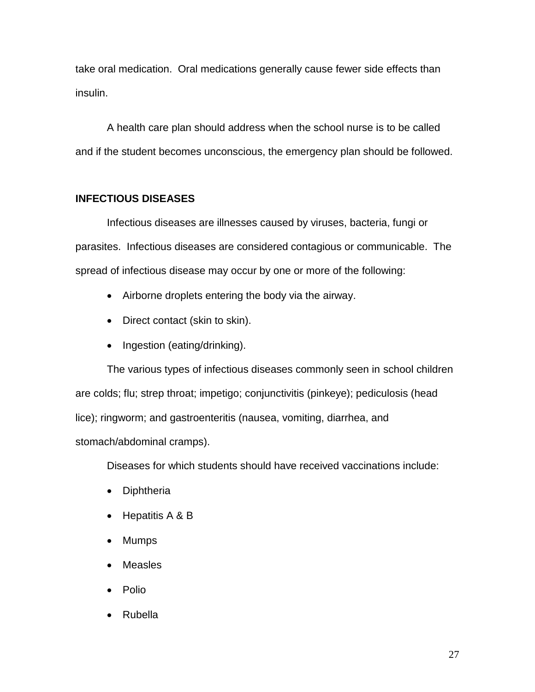take oral medication. Oral medications generally cause fewer side effects than insulin.

 A health care plan should address when the school nurse is to be called and if the student becomes unconscious, the emergency plan should be followed.

### **INFECTIOUS DISEASES**

 parasites. Infectious diseases are considered contagious or communicable. The spread of infectious disease may occur by one or more of the following: Infectious diseases are illnesses caused by viruses, bacteria, fungi or

- Airborne droplets entering the body via the airway.
- Direct contact (skin to skin).
- Ingestion (eating/drinking).

 are colds; flu; strep throat; impetigo; conjunctivitis (pinkeye); pediculosis (head The various types of infectious diseases commonly seen in school children lice); ringworm; and gastroenteritis (nausea, vomiting, diarrhea, and stomach/abdominal cramps).

Diseases for which students should have received vaccinations include:

- Diphtheria
- $\bullet$  Hepatitis A & B
- Mumps
- Measles
- Polio
- Rubella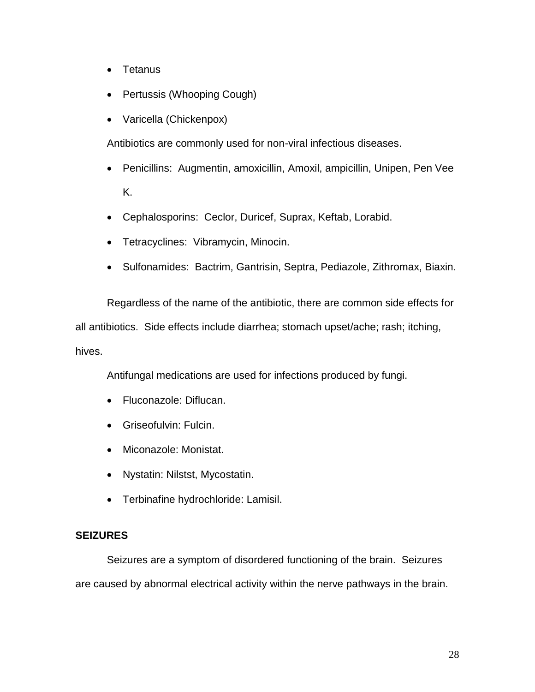- Tetanus
- Pertussis (Whooping Cough)
- Varicella (Chickenpox)

Antibiotics are commonly used for non-viral infectious diseases.

- Penicillins: Augmentin, amoxicillin, Amoxil, ampicillin, Unipen, Pen Vee K.
- Cephalosporins: Ceclor, Duricef, Suprax, Keftab, Lorabid.
- Tetracyclines: Vibramycin, Minocin.
- Sulfonamides: Bactrim, Gantrisin, Septra, Pediazole, Zithromax, Biaxin.

 Regardless of the name of the antibiotic, there are common side effects for all antibiotics. Side effects include diarrhea; stomach upset/ache; rash; itching, hives.

Antifungal medications are used for infections produced by fungi.

- Fluconazole: Diflucan.
- Griseofulvin: Fulcin.
- Miconazole: Monistat.
- Nystatin: Nilstst, Mycostatin.
- Terbinafine hydrochloride: Lamisil.

#### **SEIZURES**

 Seizures are a symptom of disordered functioning of the brain. Seizures are caused by abnormal electrical activity within the nerve pathways in the brain.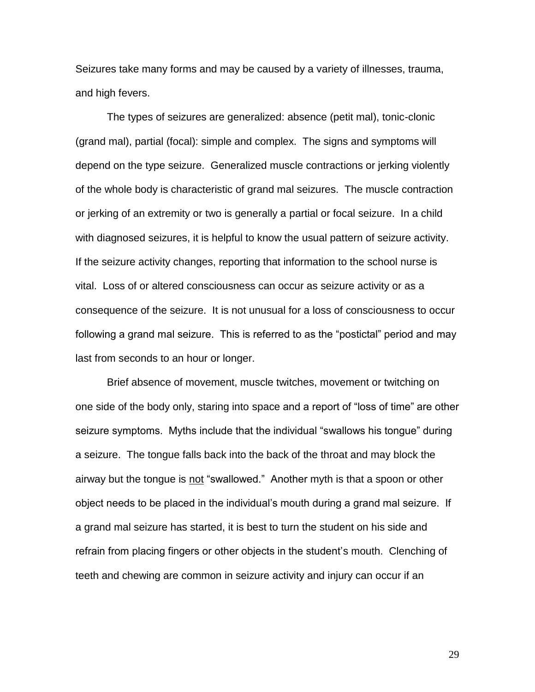and high fevers. Seizures take many forms and may be caused by a variety of illnesses, trauma,

 depend on the type seizure. Generalized muscle contractions or jerking violently of the whole body is characteristic of grand mal seizures. The muscle contraction or jerking of an extremity or two is generally a partial or focal seizure. In a child following a grand mal seizure. This is referred to as the "postictal" period and may The types of seizures are generalized: absence (petit mal), tonic-clonic (grand mal), partial (focal): simple and complex. The signs and symptoms will with diagnosed seizures, it is helpful to know the usual pattern of seizure activity. If the seizure activity changes, reporting that information to the school nurse is vital. Loss of or altered consciousness can occur as seizure activity or as a consequence of the seizure. It is not unusual for a loss of consciousness to occur last from seconds to an hour or longer.

 one side of the body only, staring into space and a report of "loss of time" are other seizure symptoms. Myths include that the individual "swallows his tongue" during a seizure. The tongue falls back into the back of the throat and may block the object needs to be placed in the individual's mouth during a grand mal seizure. If Brief absence of movement, muscle twitches, movement or twitching on airway but the tongue is not "swallowed." Another myth is that a spoon or other a grand mal seizure has started, it is best to turn the student on his side and refrain from placing fingers or other objects in the student's mouth. Clenching of teeth and chewing are common in seizure activity and injury can occur if an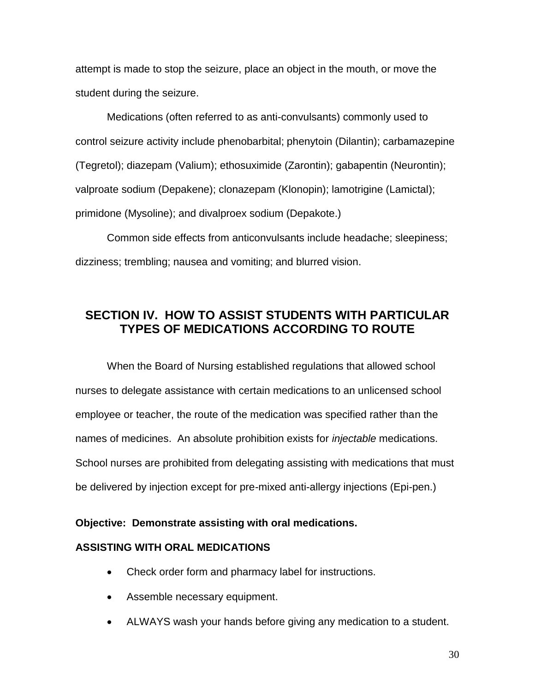attempt is made to stop the seizure, place an object in the mouth, or move the student during the seizure.

 control seizure activity include phenobarbital; phenytoin (Dilantin); carbamazepine Medications (often referred to as anti-convulsants) commonly used to (Tegretol); diazepam (Valium); ethosuximide (Zarontin); gabapentin (Neurontin); valproate sodium (Depakene); clonazepam (Klonopin); lamotrigine (Lamictal); primidone (Mysoline); and divalproex sodium (Depakote.)

Common side effects from anticonvulsants include headache; sleepiness; dizziness; trembling; nausea and vomiting; and blurred vision.

# **SECTION IV. HOW TO ASSIST STUDENTS WITH PARTICULAR TYPES OF MEDICATIONS ACCORDING TO ROUTE**

 nurses to delegate assistance with certain medications to an unlicensed school employee or teacher, the route of the medication was specified rather than the When the Board of Nursing established regulations that allowed school names of medicines. An absolute prohibition exists for *injectable* medications. School nurses are prohibited from delegating assisting with medications that must be delivered by injection except for pre-mixed anti-allergy injections (Epi-pen.)

#### **Objective: Demonstrate assisting with oral medications.**

#### **ASSISTING WITH ORAL MEDICATIONS**

- Check order form and pharmacy label for instructions.
- Assemble necessary equipment.
- ALWAYS wash your hands before giving any medication to a student.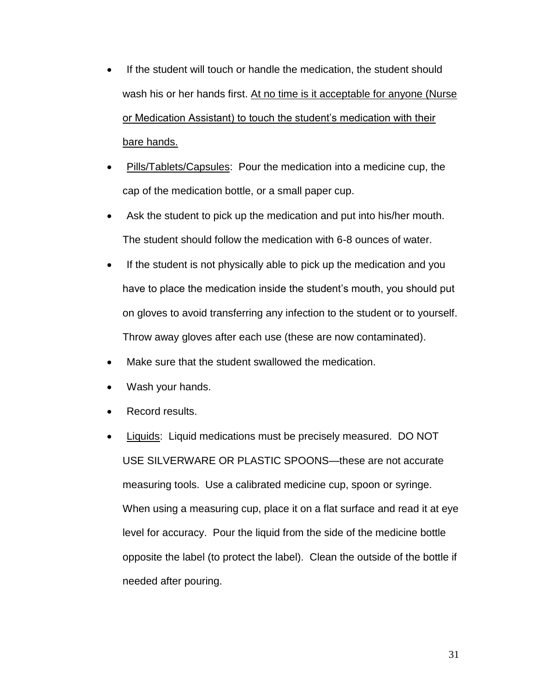- If the student will touch or handle the medication, the student should wash his or her hands first. At no time is it acceptable for anyone (Nurse or Medication Assistant) to touch the student's medication with their bare hands.
- Pills/Tablets/Capsules: Pour the medication into a medicine cup, the cap of the medication bottle, or a small paper cup.
- Ask the student to pick up the medication and put into his/her mouth. The student should follow the medication with 6-8 ounces of water.
- If the student is not physically able to pick up the medication and you have to place the medication inside the student's mouth, you should put on gloves to avoid transferring any infection to the student or to yourself. Throw away gloves after each use (these are now contaminated).
- Make sure that the student swallowed the medication.
- Wash your hands.
- Record results.
- measuring tools. Use a calibrated medicine cup, spoon or syringe. When using a measuring cup, place it on a flat surface and read it at eye opposite the label (to protect the label). Clean the outside of the bottle if Liquids: Liquid medications must be precisely measured. DO NOT USE SILVERWARE OR PLASTIC SPOONS—these are not accurate level for accuracy. Pour the liquid from the side of the medicine bottle needed after pouring.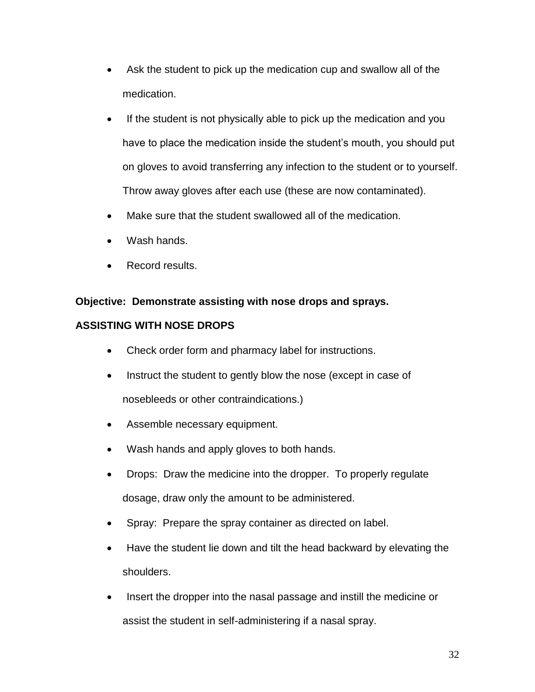- Ask the student to pick up the medication cup and swallow all of the medication.
- If the student is not physically able to pick up the medication and you have to place the medication inside the student's mouth, you should put on gloves to avoid transferring any infection to the student or to yourself. Throw away gloves after each use (these are now contaminated).
- Make sure that the student swallowed all of the medication.
- Wash hands.
- Record results.

# **Objective: Demonstrate assisting with nose drops and sprays.**

# **ASSISTING WITH NOSE DROPS**

- Check order form and pharmacy label for instructions.
- Instruct the student to gently blow the nose (except in case of nosebleeds or other contraindications.)
- Assemble necessary equipment.
- Wash hands and apply gloves to both hands.
- dosage, draw only the amount to be administered. • Drops: Draw the medicine into the dropper. To properly regulate
- Spray: Prepare the spray container as directed on label.
- Have the student lie down and tilt the head backward by elevating the shoulders.
- Insert the dropper into the nasal passage and instill the medicine or assist the student in self-administering if a nasal spray.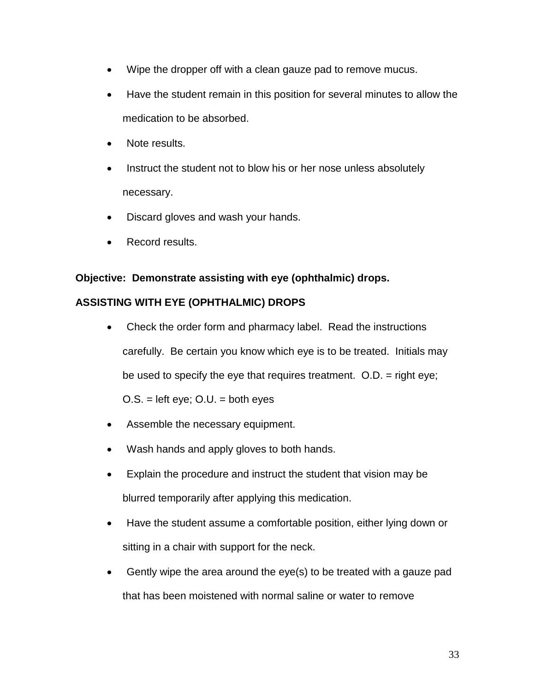- Wipe the dropper off with a clean gauze pad to remove mucus.
- Have the student remain in this position for several minutes to allow the medication to be absorbed.
- Note results.
- Instruct the student not to blow his or her nose unless absolutely necessary.
- Discard gloves and wash your hands.
- Record results.

### **Objective: Demonstrate assisting with eye (ophthalmic) drops.**

#### **ASSISTING WITH EYE (OPHTHALMIC) DROPS**

- carefully. Be certain you know which eye is to be treated. Initials may be used to specify the eye that requires treatment. O.D. = right eye; • Check the order form and pharmacy label. Read the instructions  $O.S. = left eye$ ;  $O.U. = both eyes$
- Assemble the necessary equipment.
- Wash hands and apply gloves to both hands.
- Explain the procedure and instruct the student that vision may be blurred temporarily after applying this medication.
- sitting in a chair with support for the neck. Have the student assume a comfortable position, either lying down or
- Gently wipe the area around the eye(s) to be treated with a gauze pad that has been moistened with normal saline or water to remove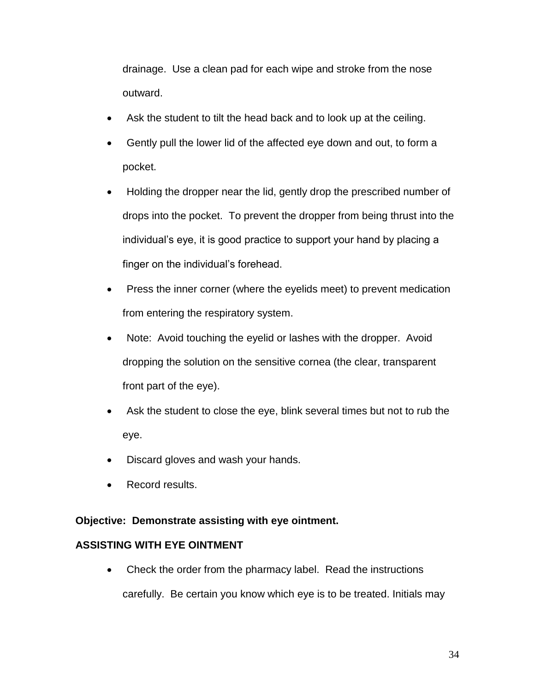drainage. Use a clean pad for each wipe and stroke from the nose outward.

- Ask the student to tilt the head back and to look up at the ceiling.
- Gently pull the lower lid of the affected eye down and out, to form a pocket.
- Holding the dropper near the lid, gently drop the prescribed number of drops into the pocket. To prevent the dropper from being thrust into the individual's eye, it is good practice to support your hand by placing a finger on the individual's forehead.
- Press the inner corner (where the eyelids meet) to prevent medication from entering the respiratory system.
- Note: Avoid touching the eyelid or lashes with the dropper. Avoid dropping the solution on the sensitive cornea (the clear, transparent front part of the eye).
- Ask the student to close the eye, blink several times but not to rub the eye.
- Discard gloves and wash your hands.
- Record results.

# **Objective: Demonstrate assisting with eye ointment.**

# **ASSISTING WITH EYE OINTMENT**

• Check the order from the pharmacy label. Read the instructions carefully. Be certain you know which eye is to be treated. Initials may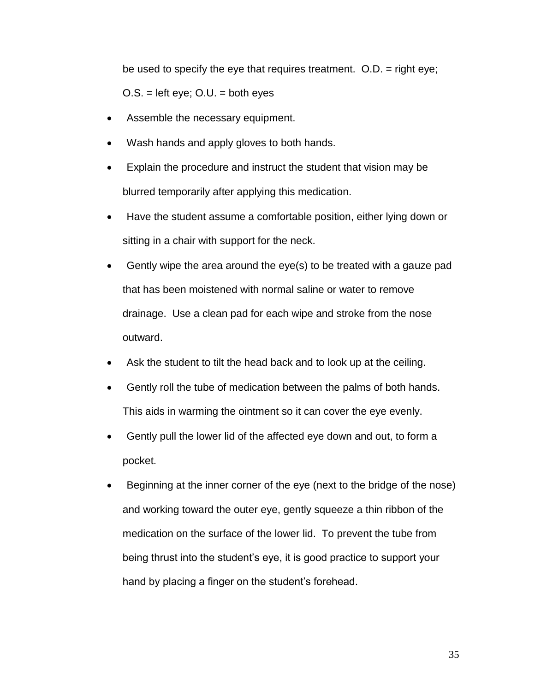be used to specify the eye that requires treatment. O.D. = right eye;  $O.S. =$  left eye;  $O.U. =$  both eyes

- Assemble the necessary equipment.
- Wash hands and apply gloves to both hands.
- Explain the procedure and instruct the student that vision may be blurred temporarily after applying this medication.
- sitting in a chair with support for the neck. • Have the student assume a comfortable position, either lying down or
- drainage. Use a clean pad for each wipe and stroke from the nose Gently wipe the area around the eye(s) to be treated with a gauze pad that has been moistened with normal saline or water to remove outward.
- Ask the student to tilt the head back and to look up at the ceiling.
- Gently roll the tube of medication between the palms of both hands. This aids in warming the ointment so it can cover the eye evenly.
- Gently pull the lower lid of the affected eye down and out, to form a pocket.
- and working toward the outer eye, gently squeeze a thin ribbon of the medication on the surface of the lower lid. To prevent the tube from Beginning at the inner corner of the eye (next to the bridge of the nose) being thrust into the student's eye, it is good practice to support your hand by placing a finger on the student's forehead.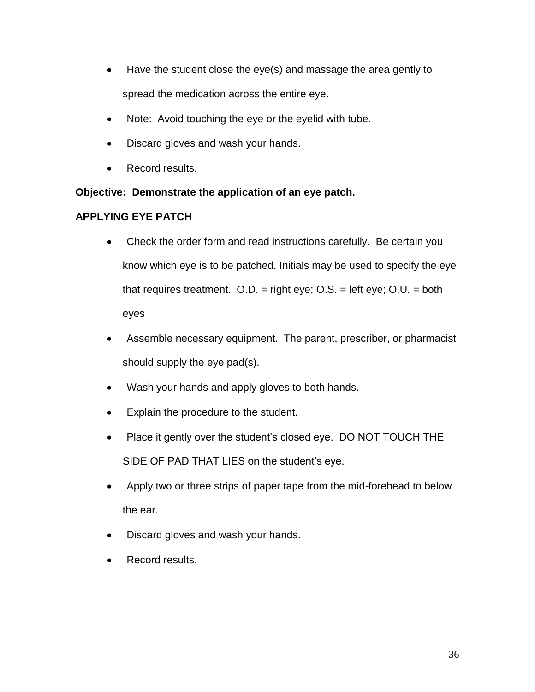- Have the student close the eye(s) and massage the area gently to spread the medication across the entire eye.
- $\bullet$ Note: Avoid touching the eye or the eyelid with tube.
- Discard gloves and wash your hands.
- Record results.

 **Objective: Demonstrate the application of an eye patch.** 

# **APPLYING EYE PATCH**

- know which eye is to be patched. Initials may be used to specify the eye Check the order form and read instructions carefully. Be certain you that requires treatment.  $O.D. =$  right eye;  $O.S. =$  left eye;  $O.U. =$  both eyes
- Assemble necessary equipment. The parent, prescriber, or pharmacist should supply the eye pad(s).
- Wash your hands and apply gloves to both hands.
- Explain the procedure to the student.
- Place it gently over the student's closed eye. DO NOT TOUCH THE SIDE OF PAD THAT LIES on the student's eye.
- Apply two or three strips of paper tape from the mid-forehead to below the ear.
- Discard gloves and wash your hands.
- Record results.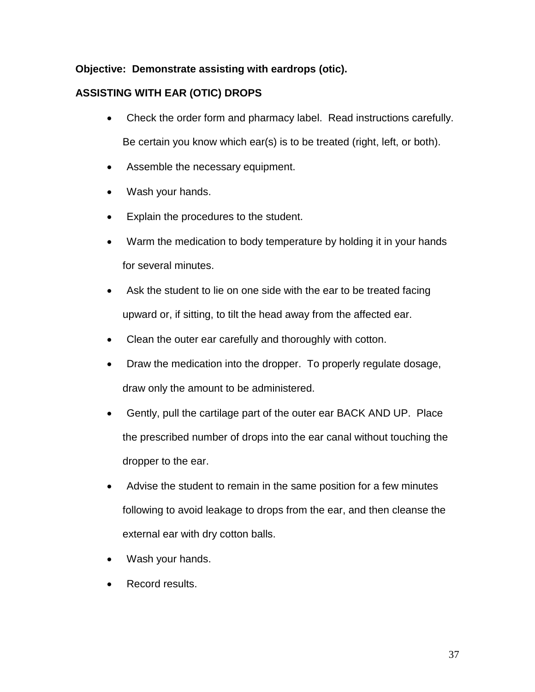## **Objective: Demonstrate assisting with eardrops (otic).**

## **ASSISTING WITH EAR (OTIC) DROPS**

- Check the order form and pharmacy label. Read instructions carefully. Be certain you know which ear(s) is to be treated (right, left, or both).
- Assemble the necessary equipment.
- Wash your hands.
- Explain the procedures to the student.
- Warm the medication to body temperature by holding it in your hands for several minutes.
- Ask the student to lie on one side with the ear to be treated facing upward or, if sitting, to tilt the head away from the affected ear.
- Clean the outer ear carefully and thoroughly with cotton.
- Draw the medication into the dropper. To properly regulate dosage, draw only the amount to be administered.
- Gently, pull the cartilage part of the outer ear BACK AND UP. Place the prescribed number of drops into the ear canal without touching the dropper to the ear.
- Advise the student to remain in the same position for a few minutes following to avoid leakage to drops from the ear, and then cleanse the external ear with dry cotton balls.
- Wash your hands.
- Record results.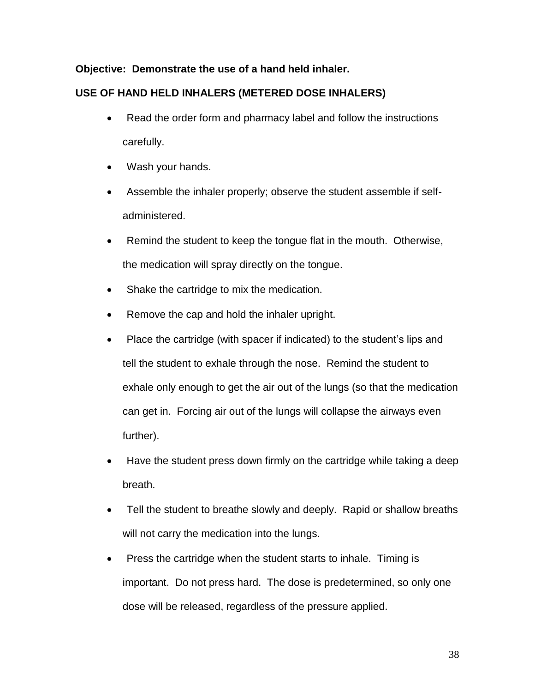## **Objective: Demonstrate the use of a hand held inhaler.**

## **USE OF HAND HELD INHALERS (METERED DOSE INHALERS)**

- Read the order form and pharmacy label and follow the instructions carefully.
- Wash your hands.
- Assemble the inhaler properly; observe the student assemble if selfadministered.
- Remind the student to keep the tongue flat in the mouth. Otherwise, the medication will spray directly on the tongue.
- Shake the cartridge to mix the medication.
- Remove the cap and hold the inhaler upright.
- exhale only enough to get the air out of the lungs (so that the medication • Place the cartridge (with spacer if indicated) to the student's lips and tell the student to exhale through the nose. Remind the student to can get in. Forcing air out of the lungs will collapse the airways even further).
- Have the student press down firmly on the cartridge while taking a deep breath.
- will not carry the medication into the lungs. Tell the student to breathe slowly and deeply. Rapid or shallow breaths
- Press the cartridge when the student starts to inhale. Timing is important. Do not press hard. The dose is predetermined, so only one dose will be released, regardless of the pressure applied.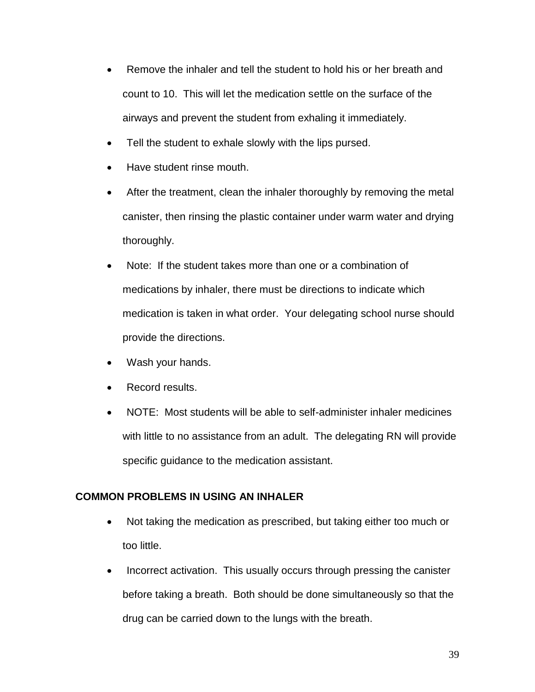- count to 10. This will let the medication settle on the surface of the • Remove the inhaler and tell the student to hold his or her breath and airways and prevent the student from exhaling it immediately.
- Tell the student to exhale slowly with the lips pursed.
- Have student rinse mouth.
- canister, then rinsing the plastic container under warm water and drying After the treatment, clean the inhaler thoroughly by removing the metal thoroughly.
- provide the directions. Note: If the student takes more than one or a combination of medications by inhaler, there must be directions to indicate which medication is taken in what order. Your delegating school nurse should
- Wash your hands.
- Record results.
- with little to no assistance from an adult. The delegating RN will provide specific guidance to the medication assistant. NOTE: Most students will be able to self-administer inhaler medicines

#### **COMMON PROBLEMS IN USING AN INHALER**

- Not taking the medication as prescribed, but taking either too much or too little.
- before taking a breath. Both should be done simultaneously so that the • Incorrect activation. This usually occurs through pressing the canister drug can be carried down to the lungs with the breath.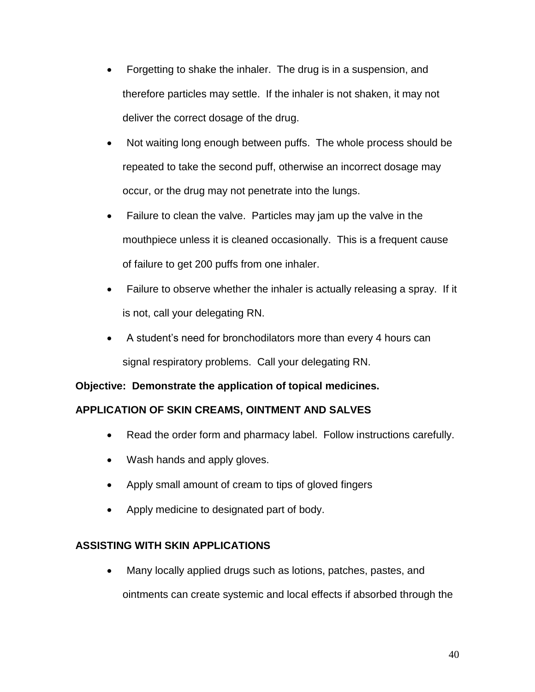- therefore particles may settle. If the inhaler is not shaken, it may not deliver the correct dosage of the drug. Forgetting to shake the inhaler. The drug is in a suspension, and
- repeated to take the second puff, otherwise an incorrect dosage may Not waiting long enough between puffs. The whole process should be occur, or the drug may not penetrate into the lungs.
- Failure to clean the valve. Particles may jam up the valve in the mouthpiece unless it is cleaned occasionally. This is a frequent cause of failure to get 200 puffs from one inhaler.
- Failure to observe whether the inhaler is actually releasing a spray. If it is not, call your delegating RN.
- A student's need for bronchodilators more than every 4 hours can signal respiratory problems. Call your delegating RN.

# **Objective: Demonstrate the application of topical medicines.**

## **APPLICATION OF SKIN CREAMS, OINTMENT AND SALVES**

- Read the order form and pharmacy label. Follow instructions carefully.
- Wash hands and apply gloves.
- Apply small amount of cream to tips of gloved fingers
- Apply medicine to designated part of body.

## **ASSISTING WITH SKIN APPLICATIONS**

Many locally applied drugs such as lotions, patches, pastes, and

ointments can create systemic and local effects if absorbed through the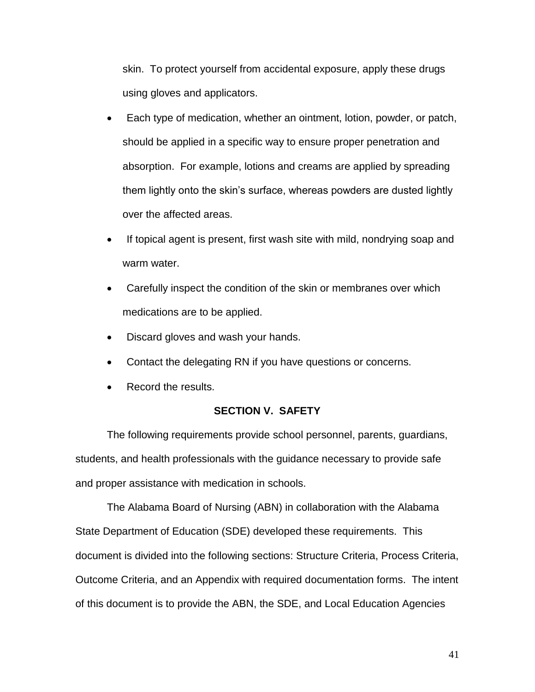skin. To protect yourself from accidental exposure, apply these drugs using gloves and applicators.

- Each type of medication, whether an ointment, lotion, powder, or patch, should be applied in a specific way to ensure proper penetration and over the affected areas. absorption. For example, lotions and creams are applied by spreading them lightly onto the skin's surface, whereas powders are dusted lightly
- If topical agent is present, first wash site with mild, nondrying soap and warm water.
- medications are to be applied. Carefully inspect the condition of the skin or membranes over which
- Discard gloves and wash your hands.
- Contact the delegating RN if you have questions or concerns.
- Record the results.

#### **SECTION V. SAFETY**

 students, and health professionals with the guidance necessary to provide safe The following requirements provide school personnel, parents, guardians, and proper assistance with medication in schools.

 The Alabama Board of Nursing (ABN) in collaboration with the Alabama Outcome Criteria, and an Appendix with required documentation forms. The intent of this document is to provide the ABN, the SDE, and Local Education Agencies State Department of Education (SDE) developed these requirements. This document is divided into the following sections: Structure Criteria, Process Criteria,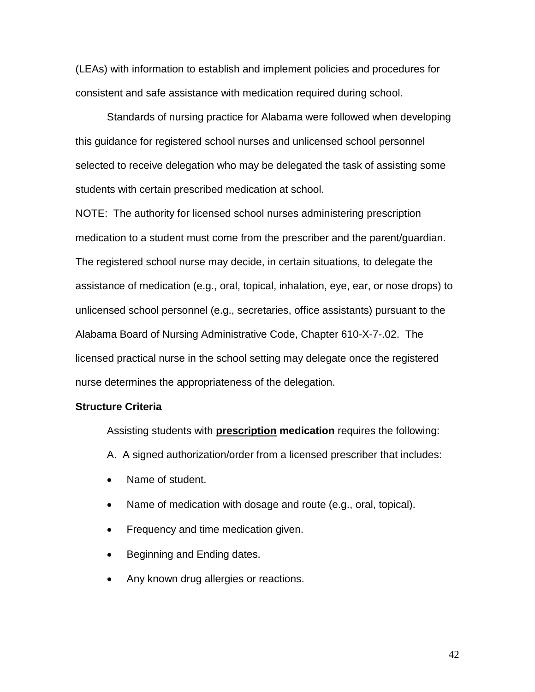(LEAs) with information to establish and implement policies and procedures for consistent and safe assistance with medication required during school.

 selected to receive delegation who may be delegated the task of assisting some students with certain prescribed medication at school. Standards of nursing practice for Alabama were followed when developing this guidance for registered school nurses and unlicensed school personnel

 NOTE: The authority for licensed school nurses administering prescription assistance of medication (e.g., oral, topical, inhalation, eye, ear, or nose drops) to unlicensed school personnel (e.g., secretaries, office assistants) pursuant to the Alabama Board of Nursing Administrative Code, Chapter 610-X-7-.02. The medication to a student must come from the prescriber and the parent/guardian. The registered school nurse may decide, in certain situations, to delegate the licensed practical nurse in the school setting may delegate once the registered nurse determines the appropriateness of the delegation.

#### **Structure Criteria**

Assisting students with **prescription medication** requires the following:

- A. A signed authorization/order from a licensed prescriber that includes:
- Name of student.
- $\bullet$ Name of medication with dosage and route (e.g., oral, topical).
- Frequency and time medication given.
- Beginning and Ending dates.
- Any known drug allergies or reactions.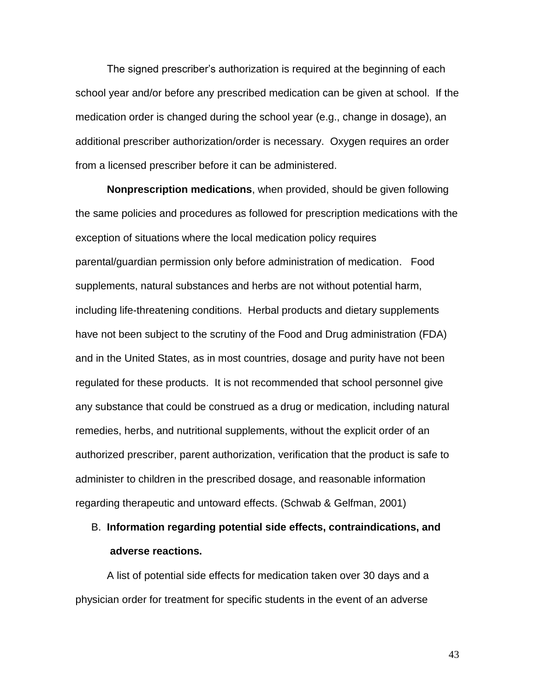The signed prescriber's authorization is required at the beginning of each school year and/or before any prescribed medication can be given at school. If the medication order is changed during the school year (e.g., change in dosage), an additional prescriber authorization/order is necessary. Oxygen requires an order from a licensed prescriber before it can be administered.

 the same policies and procedures as followed for prescription medications with the parental/guardian permission only before administration of medication. Food have not been subject to the scrutiny of the Food and Drug administration (FDA) regulated for these products. It is not recommended that school personnel give **Nonprescription medications**, when provided, should be given following exception of situations where the local medication policy requires supplements, natural substances and herbs are not without potential harm, including life-threatening conditions. Herbal products and dietary supplements and in the United States, as in most countries, dosage and purity have not been any substance that could be construed as a drug or medication, including natural remedies, herbs, and nutritional supplements, without the explicit order of an authorized prescriber, parent authorization, verification that the product is safe to administer to children in the prescribed dosage, and reasonable information regarding therapeutic and untoward effects. (Schwab & Gelfman, 2001)

# B. **Information regarding potential side effects, contraindications, and adverse reactions.**

 physician order for treatment for specific students in the event of an adverse A list of potential side effects for medication taken over 30 days and a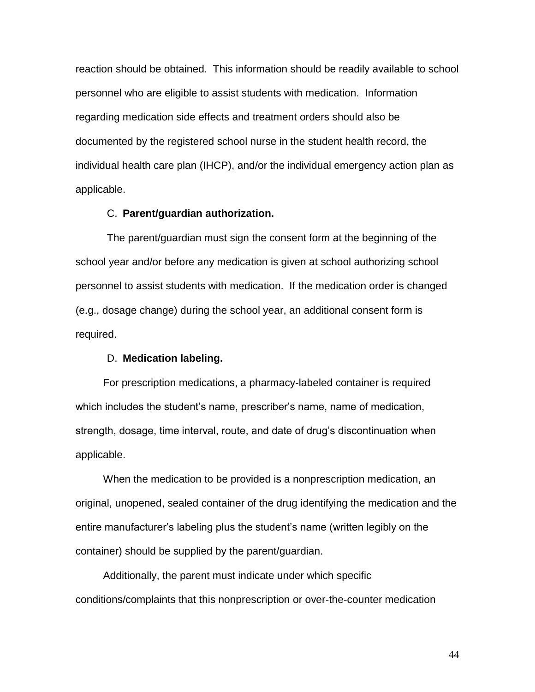personnel who are eligible to assist students with medication. Information reaction should be obtained. This information should be readily available to school regarding medication side effects and treatment orders should also be documented by the registered school nurse in the student health record, the individual health care plan (IHCP), and/or the individual emergency action plan as applicable.

#### C. **Parent/guardian authorization.**

The parent/guardian must sign the consent form at the beginning of the school year and/or before any medication is given at school authorizing school personnel to assist students with medication. If the medication order is changed (e.g., dosage change) during the school year, an additional consent form is required.

#### D. **Medication labeling.**

For prescription medications, a pharmacy-labeled container is required which includes the student's name, prescriber's name, name of medication, strength, dosage, time interval, route, and date of drug's discontinuation when applicable.

 original, unopened, sealed container of the drug identifying the medication and the When the medication to be provided is a nonprescription medication, an entire manufacturer's labeling plus the student's name (written legibly on the container) should be supplied by the parent/guardian.

 conditions/complaints that this nonprescription or over-the-counter medication Additionally, the parent must indicate under which specific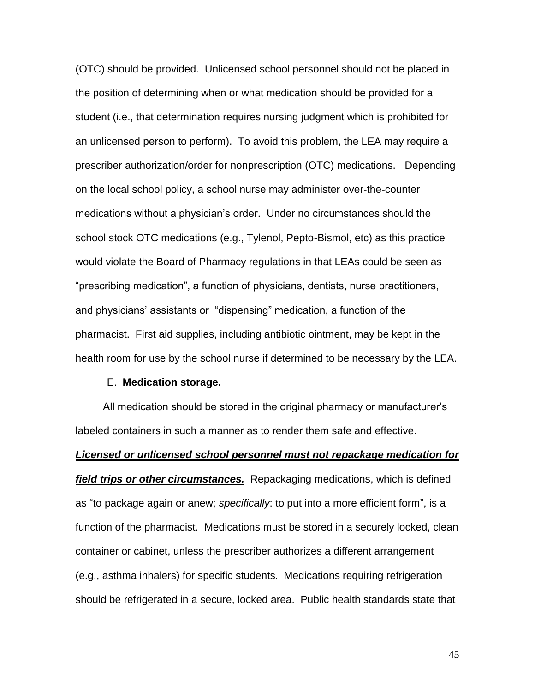(OTC) should be provided. Unlicensed school personnel should not be placed in the position of determining when or what medication should be provided for a prescriber authorization/order for nonprescription (OTC) medications. Depending medications without a physician's order. Under no circumstances should the would violate the Board of Pharmacy regulations in that LEAs could be seen as and physicians' assistants or "dispensing" medication, a function of the pharmacist. First aid supplies, including antibiotic ointment, may be kept in the health room for use by the school nurse if determined to be necessary by the LEA. student (i.e., that determination requires nursing judgment which is prohibited for an unlicensed person to perform). To avoid this problem, the LEA may require a on the local school policy, a school nurse may administer over-the-counter school stock OTC medications (e.g., Tylenol, Pepto-Bismol, etc) as this practice "prescribing medication", a function of physicians, dentists, nurse practitioners,

#### E. **Medication storage.**

 labeled containers in such a manner as to render them safe and effective. All medication should be stored in the original pharmacy or manufacturer's

 *field trips or other circumstances.* Repackaging medications, which is defined as "to package again or anew; *specifically*: to put into a more efficient form", is a function of the pharmacist. Medications must be stored in a securely locked, clean (e.g., asthma inhalers) for specific students. Medications requiring refrigeration should be refrigerated in a secure, locked area. Public health standards state that *Licensed or unlicensed school personnel must not repackage medication for*  container or cabinet, unless the prescriber authorizes a different arrangement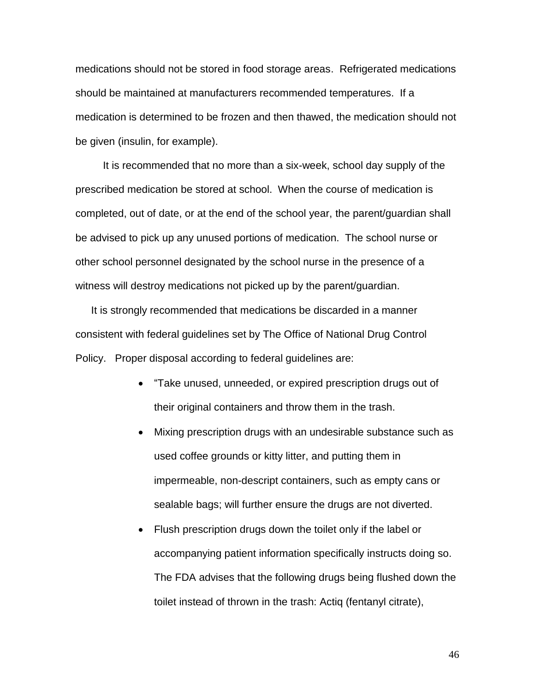medications should not be stored in food storage areas. Refrigerated medications should be maintained at manufacturers recommended temperatures. If a medication is determined to be frozen and then thawed, the medication should not be given (insulin, for example). be given (insulin, for example).<br>It is recommended that no more than a six-week, school day supply of the

 prescribed medication be stored at school. When the course of medication is completed, out of date, or at the end of the school year, the parent/guardian shall other school personnel designated by the school nurse in the presence of a be advised to pick up any unused portions of medication. The school nurse or witness will destroy medications not picked up by the parent/guardian.

 Policy. Proper disposal according to federal guidelines are: It is strongly recommended that medications be discarded in a manner consistent with federal guidelines set by The Office of National Drug Control

- their original containers and throw them in the trash. "Take unused, unneeded, or expired prescription drugs out of
- sealable bags; will further ensure the drugs are not diverted. Mixing prescription drugs with an undesirable substance such as used coffee grounds or kitty litter, and putting them in impermeable, non-descript containers, such as empty cans or
- The FDA advises that the following drugs being flushed down the • Flush prescription drugs down the toilet only if the label or accompanying patient information specifically instructs doing so. toilet instead of thrown in the trash: Actiq (fentanyl citrate),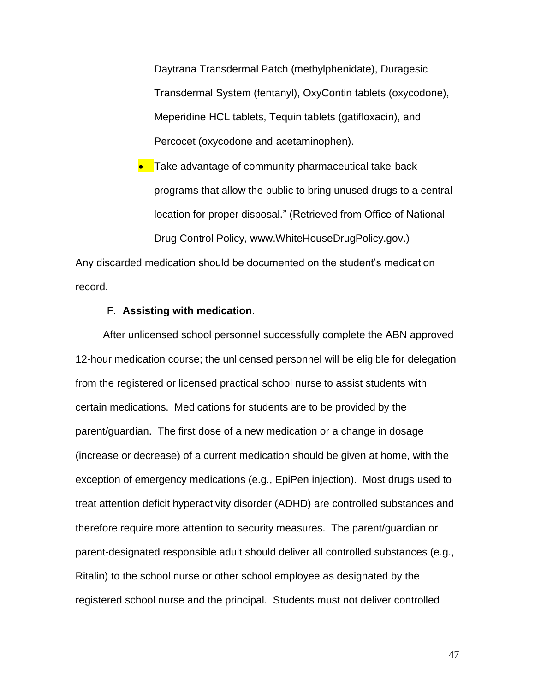Daytrana Transdermal Patch (methylphenidate), Duragesic Transdermal System (fentanyl), OxyContin tablets (oxycodone), Meperidine HCL tablets, Tequin tablets (gatifloxacin), and Percocet (oxycodone and acetaminophen).

 location for proper disposal." (Retrieved from Office of National Drug Control Policy, www.WhiteHouseDrugPolicy.gov.) • Take advantage of community pharmaceutical take-back programs that allow the public to bring unused drugs to a central

Any discarded medication should be documented on the student's medication record.

#### F. **Assisting with medication**.

 12-hour medication course; the unlicensed personnel will be eligible for delegation certain medications. Medications for students are to be provided by the parent/guardian. The first dose of a new medication or a change in dosage therefore require more attention to security measures. The parent/guardian or After unlicensed school personnel successfully complete the ABN approved from the registered or licensed practical school nurse to assist students with (increase or decrease) of a current medication should be given at home, with the exception of emergency medications (e.g., EpiPen injection). Most drugs used to treat attention deficit hyperactivity disorder (ADHD) are controlled substances and parent-designated responsible adult should deliver all controlled substances (e.g., Ritalin) to the school nurse or other school employee as designated by the registered school nurse and the principal. Students must not deliver controlled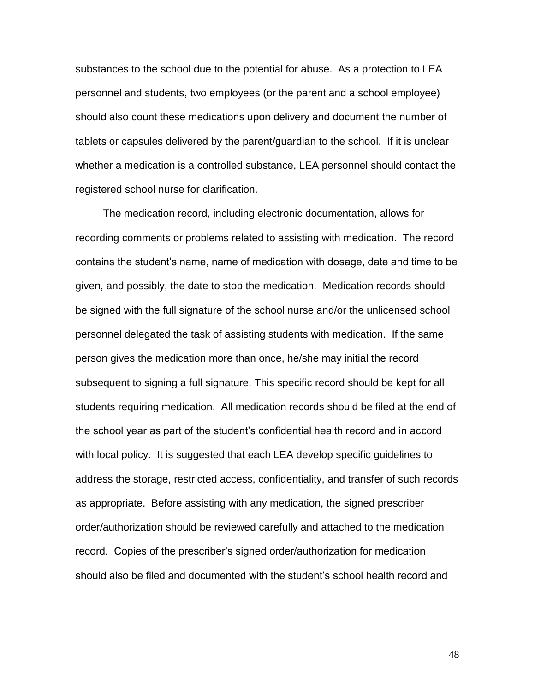tablets or capsules delivered by the parent/guardian to the school. If it is unclear substances to the school due to the potential for abuse. As a protection to LEA personnel and students, two employees (or the parent and a school employee) should also count these medications upon delivery and document the number of whether a medication is a controlled substance, LEA personnel should contact the registered school nurse for clarification.

 contains the student's name, name of medication with dosage, date and time to be given, and possibly, the date to stop the medication. Medication records should personnel delegated the task of assisting students with medication. If the same person gives the medication more than once, he/she may initial the record students requiring medication. All medication records should be filed at the end of order/authorization should be reviewed carefully and attached to the medication The medication record, including electronic documentation, allows for recording comments or problems related to assisting with medication. The record be signed with the full signature of the school nurse and/or the unlicensed school subsequent to signing a full signature. This specific record should be kept for all the school year as part of the student's confidential health record and in accord with local policy. It is suggested that each LEA develop specific guidelines to address the storage, restricted access, confidentiality, and transfer of such records as appropriate. Before assisting with any medication, the signed prescriber record. Copies of the prescriber's signed order/authorization for medication should also be filed and documented with the student's school health record and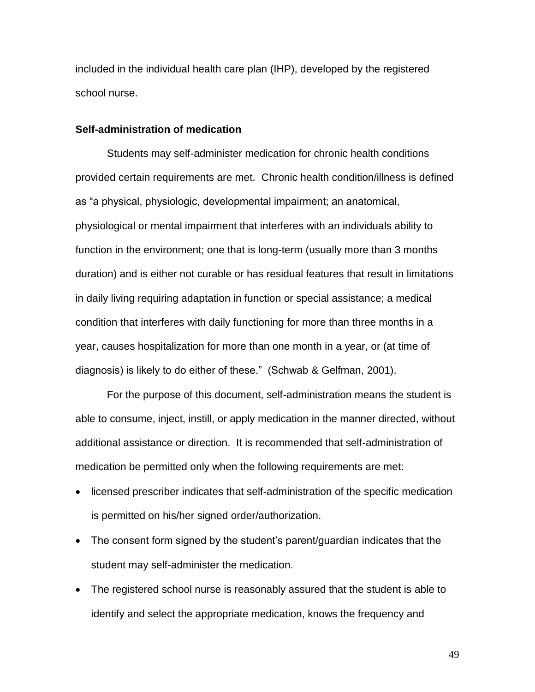school nurse. included in the individual health care plan (IHP), developed by the registered

#### **Self-administration of medication**

 provided certain requirements are met. Chronic health condition/illness is defined as "a physical, physiologic, developmental impairment; an anatomical, in daily living requiring adaptation in function or special assistance; a medical diagnosis) is likely to do either of these." (Schwab & Gelfman, 2001). diagnosis) is likely to do either of these." (Schwab & Gelfman, 2001). For the purpose of this document, self-administration means the student is Students may self-administer medication for chronic health conditions physiological or mental impairment that interferes with an individuals ability to function in the environment; one that is long-term (usually more than 3 months duration) and is either not curable or has residual features that result in limitations condition that interferes with daily functioning for more than three months in a year, causes hospitalization for more than one month in a year, or (at time of

 able to consume, inject, instill, or apply medication in the manner directed, without additional assistance or direction. It is recommended that self-administration of medication be permitted only when the following requirements are met:

- licensed prescriber indicates that self-administration of the specific medication is permitted on his/her signed order/authorization.
- The consent form signed by the student's parent/guardian indicates that the student may self-administer the medication.
- The registered school nurse is reasonably assured that the student is able to identify and select the appropriate medication, knows the frequency and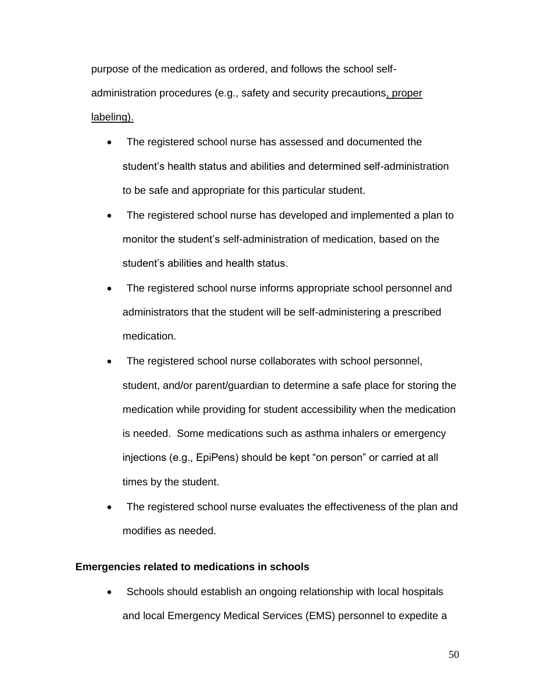purpose of the medication as ordered, and follows the school selfadministration procedures (e.g., safety and security precautions, proper labeling).

- to be safe and appropriate for this particular student. The registered school nurse has assessed and documented the student's health status and abilities and determined self-administration
- The registered school nurse has developed and implemented a plan to monitor the student's self-administration of medication, based on the student's abilities and health status.
- administrators that the student will be self-administering a prescribed The registered school nurse informs appropriate school personnel and medication.
- medication while providing for student accessibility when the medication is needed. Some medications such as asthma inhalers or emergency times by the student. The registered school nurse collaborates with school personnel, student, and/or parent/guardian to determine a safe place for storing the injections (e.g., EpiPens) should be kept "on person" or carried at all
- The registered school nurse evaluates the effectiveness of the plan and modifies as needed.

#### **Emergencies related to medications in schools**

 Schools should establish an ongoing relationship with local hospitals and local Emergency Medical Services (EMS) personnel to expedite a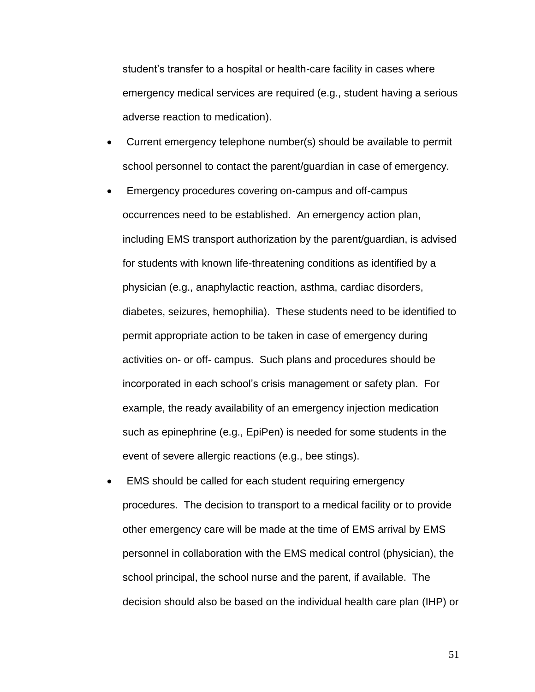student's transfer to a hospital or health-care facility in cases where emergency medical services are required (e.g., student having a serious adverse reaction to medication).

- school personnel to contact the parent/guardian in case of emergency. Current emergency telephone number(s) should be available to permit
- occurrences need to be established. An emergency action plan, for students with known life-threatening conditions as identified by a activities on- or off- campus. Such plans and procedures should be example, the ready availability of an emergency injection medication Emergency procedures covering on-campus and off-campus including EMS transport authorization by the parent/guardian, is advised physician (e.g., anaphylactic reaction, asthma, cardiac disorders, diabetes, seizures, hemophilia). These students need to be identified to permit appropriate action to be taken in case of emergency during incorporated in each school's crisis management or safety plan. For such as epinephrine (e.g., EpiPen) is needed for some students in the event of severe allergic reactions (e.g., bee stings).
- procedures. The decision to transport to a medical facility or to provide other emergency care will be made at the time of EMS arrival by EMS personnel in collaboration with the EMS medical control (physician), the school principal, the school nurse and the parent, if available. The decision should also be based on the individual health care plan (IHP) or EMS should be called for each student requiring emergency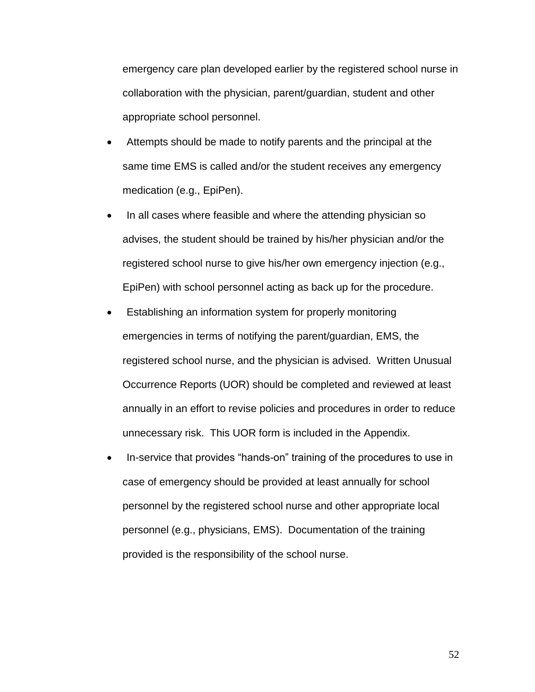emergency care plan developed earlier by the registered school nurse in collaboration with the physician, parent/guardian, student and other appropriate school personnel.

- Attempts should be made to notify parents and the principal at the same time EMS is called and/or the student receives any emergency medication (e.g., EpiPen).
- In all cases where feasible and where the attending physician so advises, the student should be trained by his/her physician and/or the registered school nurse to give his/her own emergency injection (e.g., EpiPen) with school personnel acting as back up for the procedure.
- Establishing an information system for properly monitoring emergencies in terms of notifying the parent/guardian, EMS, the registered school nurse, and the physician is advised. Written Unusual Occurrence Reports (UOR) should be completed and reviewed at least annually in an effort to revise policies and procedures in order to reduce unnecessary risk. This UOR form is included in the Appendix.
- In-service that provides "hands-on" training of the procedures to use in personnel (e.g., physicians, EMS). Documentation of the training case of emergency should be provided at least annually for school personnel by the registered school nurse and other appropriate local provided is the responsibility of the school nurse.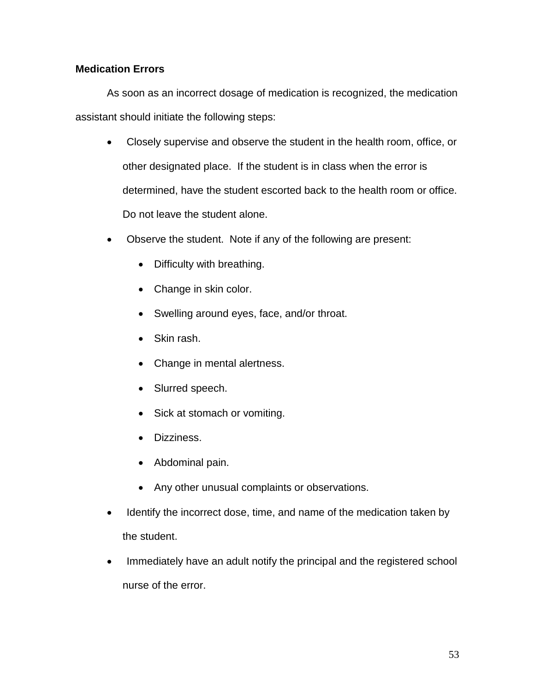### **Medication Errors**

As soon as an incorrect dosage of medication is recognized, the medication assistant should initiate the following steps:

- other designated place. If the student is in class when the error is Do not leave the student alone. Closely supervise and observe the student in the health room, office, or determined, have the student escorted back to the health room or office.
- Observe the student. Note if any of the following are present:
	- Difficulty with breathing.
	- Change in skin color.
	- Swelling around eyes, face, and/or throat.
	- Skin rash.
	- Change in mental alertness.
	- Slurred speech.
	- Sick at stomach or vomiting.
	- Dizziness.
	- Abdominal pain.
	- Any other unusual complaints or observations.
- Identify the incorrect dose, time, and name of the medication taken by the student.
- Immediately have an adult notify the principal and the registered school nurse of the error.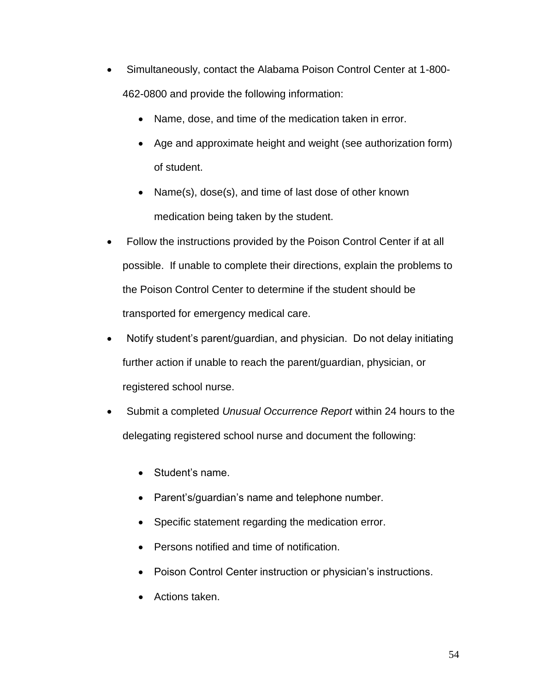- 462-0800 and provide the following information: Simultaneously, contact the Alabama Poison Control Center at 1-800-
	- Name, dose, and time of the medication taken in error.
	- Age and approximate height and weight (see authorization form) of student.
	- Name(s), dose(s), and time of last dose of other known medication being taken by the student.
- Follow the instructions provided by the Poison Control Center if at all possible. If unable to complete their directions, explain the problems to the Poison Control Center to determine if the student should be transported for emergency medical care.
- Notify student's parent/guardian, and physician. Do not delay initiating further action if unable to reach the parent/guardian, physician, or registered school nurse.
- Submit a completed *Unusual Occurrence Report* within 24 hours to the delegating registered school nurse and document the following:
	- Student's name.
	- Parent's/guardian's name and telephone number.
	- Specific statement regarding the medication error.
	- Persons notified and time of notification.
	- Poison Control Center instruction or physician's instructions.
	- Actions taken.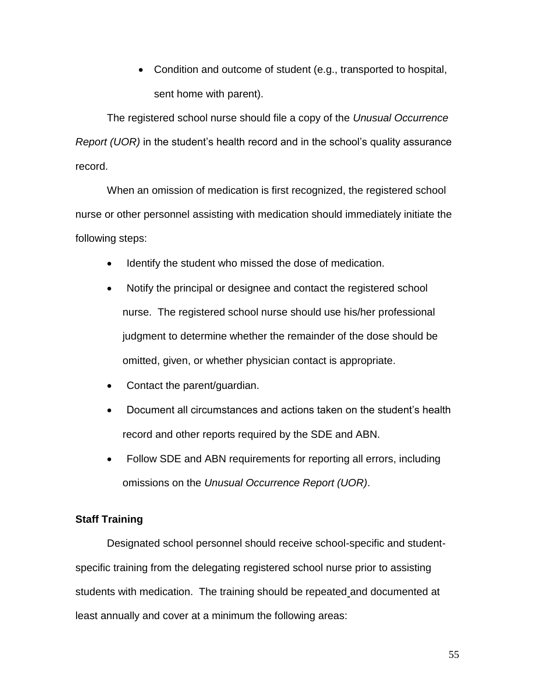• Condition and outcome of student (e.g., transported to hospital, sent home with parent).

The registered school nurse should file a copy of the *Unusual Occurrence Report (UOR)* in the student's health record and in the school's quality assurance record.

When an omission of medication is first recognized, the registered school nurse or other personnel assisting with medication should immediately initiate the following steps:

- Identify the student who missed the dose of medication.
- nurse. The registered school nurse should use his/her professional omitted, given, or whether physician contact is appropriate. Notify the principal or designee and contact the registered school judgment to determine whether the remainder of the dose should be
- Contact the parent/guardian.
- record and other reports required by the SDE and ABN. Document all circumstances and actions taken on the student's health
- Follow SDE and ABN requirements for reporting all errors, including omissions on the *Unusual Occurrence Report (UOR)*.

#### **Staff Training**

 specific training from the delegating registered school nurse prior to assisting students with medication. The training should be repeated and documented at least annually and cover at a minimum the following areas: Designated school personnel should receive school-specific and student-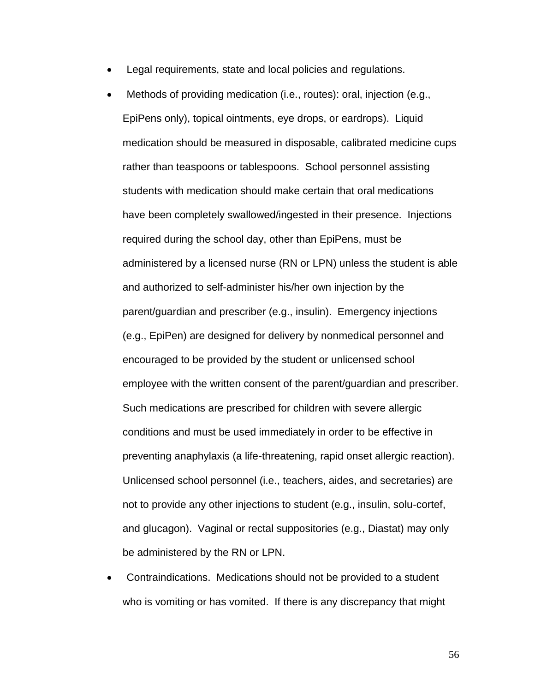- Legal requirements, state and local policies and regulations.
- medication should be measured in disposable, calibrated medicine cups have been completely swallowed/ingested in their presence. Injections (e.g., EpiPen) are designed for delivery by nonmedical personnel and Such medications are prescribed for children with severe allergic and glucagon). Vaginal or rectal suppositories (e.g., Diastat) may only Methods of providing medication (i.e., routes): oral, injection (e.g., EpiPens only), topical ointments, eye drops, or eardrops). Liquid rather than teaspoons or tablespoons. School personnel assisting students with medication should make certain that oral medications required during the school day, other than EpiPens, must be administered by a licensed nurse (RN or LPN) unless the student is able and authorized to self-administer his/her own injection by the parent/guardian and prescriber (e.g., insulin). Emergency injections encouraged to be provided by the student or unlicensed school employee with the written consent of the parent/guardian and prescriber. conditions and must be used immediately in order to be effective in preventing anaphylaxis (a life-threatening, rapid onset allergic reaction). Unlicensed school personnel (i.e., teachers, aides, and secretaries) are not to provide any other injections to student (e.g., insulin, solu-cortef, be administered by the RN or LPN.
- Contraindications. Medications should not be provided to a student who is vomiting or has vomited. If there is any discrepancy that might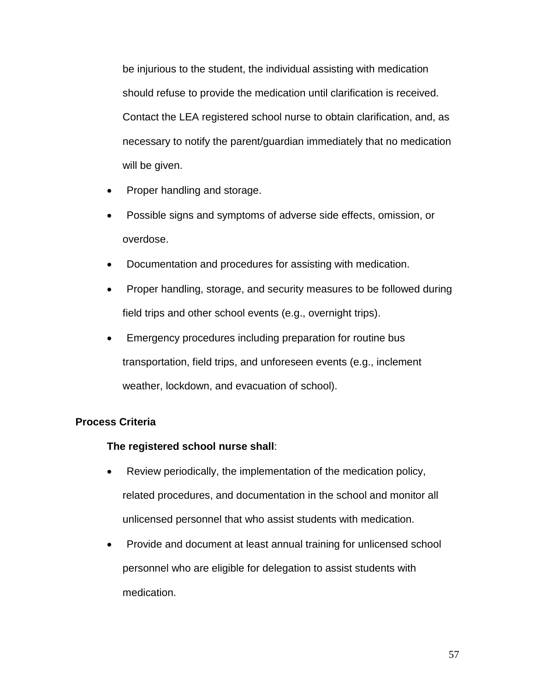be injurious to the student, the individual assisting with medication should refuse to provide the medication until clarification is received. Contact the LEA registered school nurse to obtain clarification, and, as necessary to notify the parent/guardian immediately that no medication will be given.

- Proper handling and storage.
- Possible signs and symptoms of adverse side effects, omission, or overdose.
- Documentation and procedures for assisting with medication.
- Proper handling, storage, and security measures to be followed during field trips and other school events (e.g., overnight trips).
- Emergency procedures including preparation for routine bus transportation, field trips, and unforeseen events (e.g., inclement weather, lockdown, and evacuation of school).

#### **Process Criteria**

#### **The registered school nurse shall**:

- Review periodically, the implementation of the medication policy, related procedures, and documentation in the school and monitor all unlicensed personnel that who assist students with medication.
- Provide and document at least annual training for unlicensed school personnel who are eligible for delegation to assist students with medication.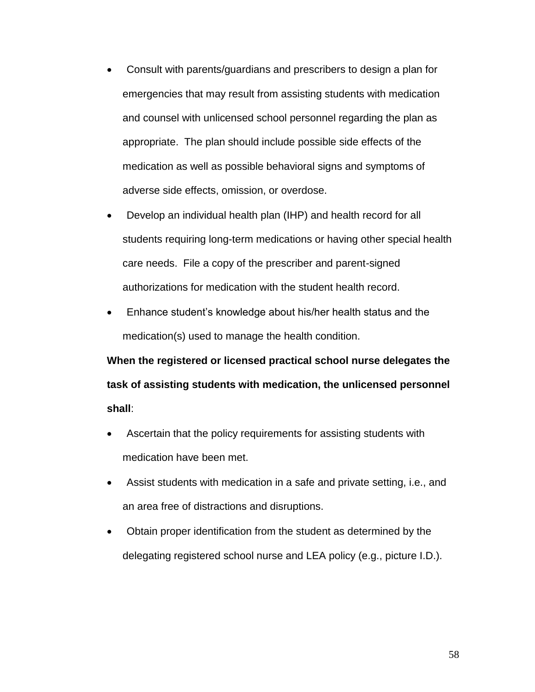- Consult with parents/guardians and prescribers to design a plan for and counsel with unlicensed school personnel regarding the plan as appropriate. The plan should include possible side effects of the emergencies that may result from assisting students with medication medication as well as possible behavioral signs and symptoms of adverse side effects, omission, or overdose.
- care needs. File a copy of the prescriber and parent-signed authorizations for medication with the student health record. Develop an individual health plan (IHP) and health record for all students requiring long-term medications or having other special health
- medication(s) used to manage the health condition. Enhance student's knowledge about his/her health status and the

**When the registered or licensed practical school nurse delegates the task of assisting students with medication, the unlicensed personnel shall**:

- medication have been met. Ascertain that the policy requirements for assisting students with
- Assist students with medication in a safe and private setting, i.e., and an area free of distractions and disruptions.
- Obtain proper identification from the student as determined by the delegating registered school nurse and LEA policy (e.g., picture I.D.).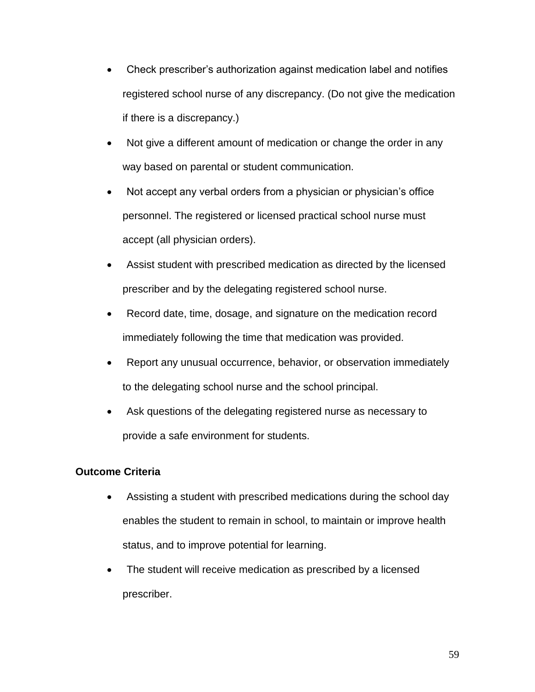- Check prescriber's authorization against medication label and notifies registered school nurse of any discrepancy. (Do not give the medication if there is a discrepancy.)
- Not give a different amount of medication or change the order in any way based on parental or student communication.
- Not accept any verbal orders from a physician or physician's office personnel. The registered or licensed practical school nurse must accept (all physician orders).
- Assist student with prescribed medication as directed by the licensed prescriber and by the delegating registered school nurse.
- Record date, time, dosage, and signature on the medication record immediately following the time that medication was provided.
- Report any unusual occurrence, behavior, or observation immediately to the delegating school nurse and the school principal.
- Ask questions of the delegating registered nurse as necessary to provide a safe environment for students.

## **Outcome Criteria**

- Assisting a student with prescribed medications during the school day enables the student to remain in school, to maintain or improve health status, and to improve potential for learning.
- The student will receive medication as prescribed by a licensed prescriber.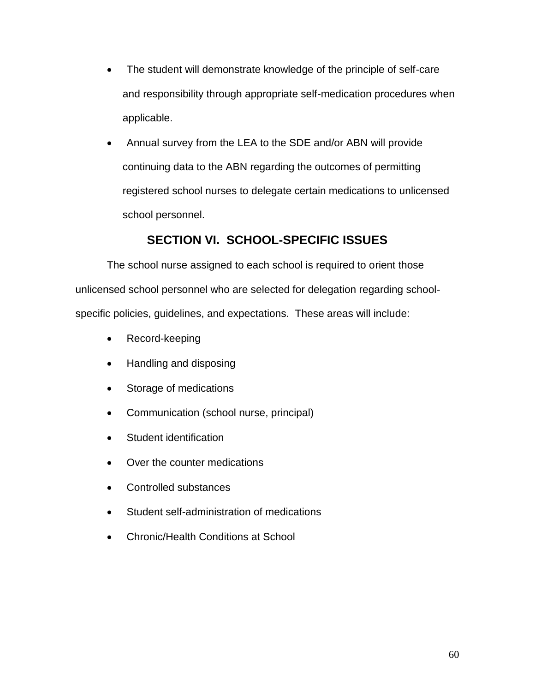- The student will demonstrate knowledge of the principle of self-care and responsibility through appropriate self-medication procedures when applicable.
- Annual survey from the LEA to the SDE and/or ABN will provide continuing data to the ABN regarding the outcomes of permitting registered school nurses to delegate certain medications to unlicensed school personnel.

# **SECTION VI. SCHOOL-SPECIFIC ISSUES**

 specific policies, guidelines, and expectations. These areas will include: The school nurse assigned to each school is required to orient those unlicensed school personnel who are selected for delegation regarding school-

- Record-keeping
- Handling and disposing
- Storage of medications
- Communication (school nurse, principal)
- Student identification
- Over the counter medications
- Controlled substances
- Student self-administration of medications
- Chronic/Health Conditions at School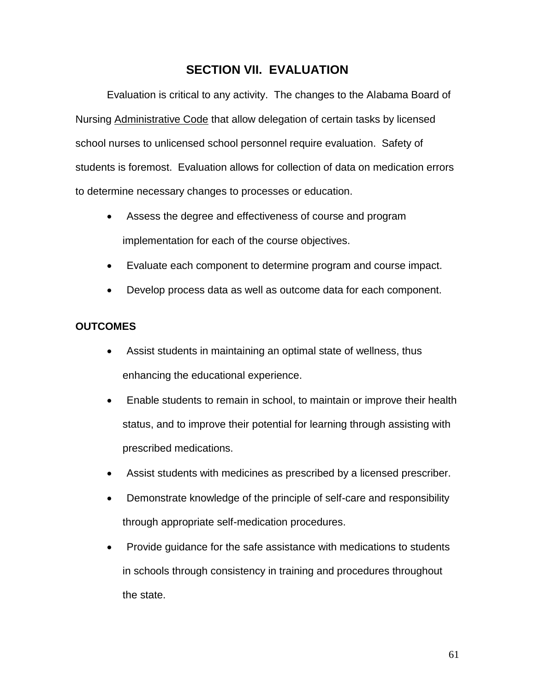# **SECTION VII. EVALUATION**

 Evaluation is critical to any activity. The changes to the Alabama Board of school nurses to unlicensed school personnel require evaluation. Safety of students is foremost. Evaluation allows for collection of data on medication errors Nursing Administrative Code that allow delegation of certain tasks by licensed to determine necessary changes to processes or education.

- implementation for each of the course objectives. Assess the degree and effectiveness of course and program
- Evaluate each component to determine program and course impact.
- Develop process data as well as outcome data for each component.

## **OUTCOMES**

- Assist students in maintaining an optimal state of wellness, thus enhancing the educational experience.
- Enable students to remain in school, to maintain or improve their health status, and to improve their potential for learning through assisting with prescribed medications.
- Assist students with medicines as prescribed by a licensed prescriber.
- Demonstrate knowledge of the principle of self-care and responsibility through appropriate self-medication procedures.
- Provide guidance for the safe assistance with medications to students in schools through consistency in training and procedures throughout the state.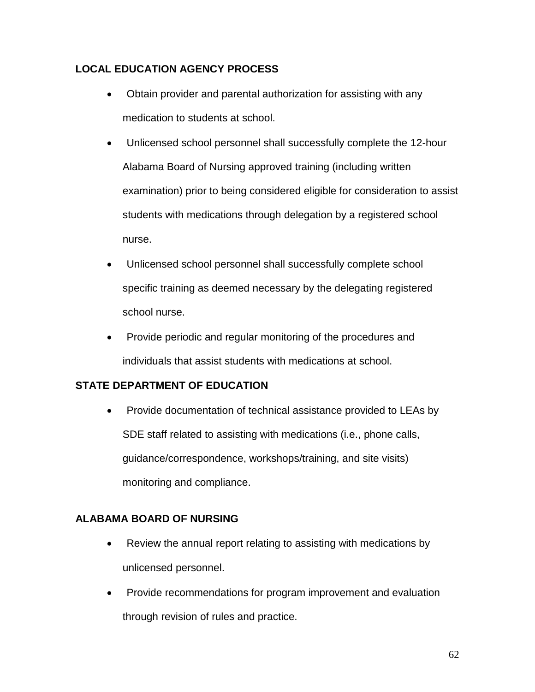# **LOCAL EDUCATION AGENCY PROCESS**

- Obtain provider and parental authorization for assisting with any medication to students at school.
- Unlicensed school personnel shall successfully complete the 12-hour examination) prior to being considered eligible for consideration to assist nurse. Alabama Board of Nursing approved training (including written students with medications through delegation by a registered school
- school nurse. Unlicensed school personnel shall successfully complete school specific training as deemed necessary by the delegating registered
- Provide periodic and regular monitoring of the procedures and individuals that assist students with medications at school.

# **STATE DEPARTMENT OF EDUCATION**

 monitoring and compliance. • Provide documentation of technical assistance provided to LEAs by SDE staff related to assisting with medications (i.e., phone calls, guidance/correspondence, workshops/training, and site visits)

## **ALABAMA BOARD OF NURSING**

- unlicensed personnel. Review the annual report relating to assisting with medications by
- Provide recommendations for program improvement and evaluation through revision of rules and practice.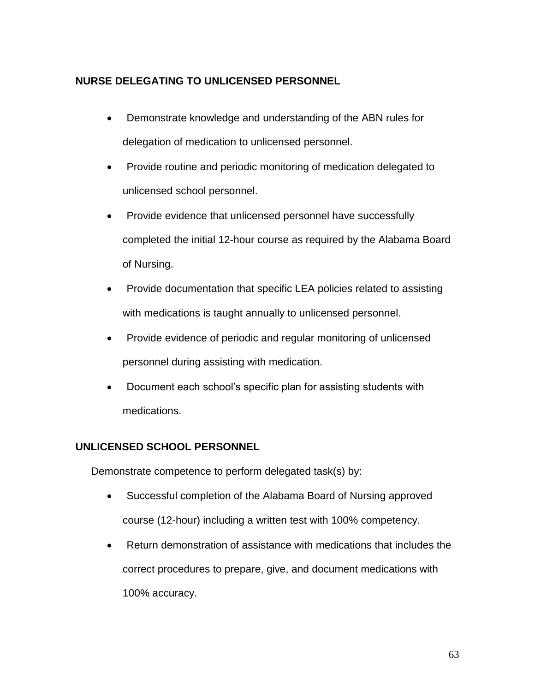# **NURSE DELEGATING TO UNLICENSED PERSONNEL**

- Demonstrate knowledge and understanding of the ABN rules for delegation of medication to unlicensed personnel.
- Provide routine and periodic monitoring of medication delegated to unlicensed school personnel.
- Provide evidence that unlicensed personnel have successfully completed the initial 12-hour course as required by the Alabama Board of Nursing.
- Provide documentation that specific LEA policies related to assisting with medications is taught annually to unlicensed personnel.
- Provide evidence of periodic and regular monitoring of unlicensed personnel during assisting with medication.
- Document each school's specific plan for assisting students with medications.

# **UNLICENSED SCHOOL PERSONNEL**

Demonstrate competence to perform delegated task(s) by:

- Successful completion of the Alabama Board of Nursing approved course (12-hour) including a written test with 100% competency.
- Return demonstration of assistance with medications that includes the correct procedures to prepare, give, and document medications with 100% accuracy.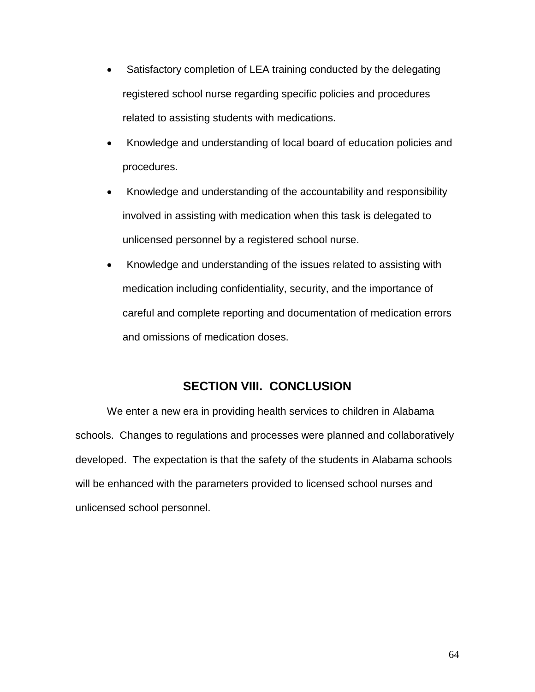- Satisfactory completion of LEA training conducted by the delegating related to assisting students with medications. registered school nurse regarding specific policies and procedures
- Knowledge and understanding of local board of education policies and procedures.
- unlicensed personnel by a registered school nurse. Knowledge and understanding of the accountability and responsibility involved in assisting with medication when this task is delegated to
- careful and complete reporting and documentation of medication errors and omissions of medication doses. Knowledge and understanding of the issues related to assisting with medication including confidentiality, security, and the importance of

# **SECTION VIII. CONCLUSION**

 schools. Changes to regulations and processes were planned and collaboratively We enter a new era in providing health services to children in Alabama developed. The expectation is that the safety of the students in Alabama schools will be enhanced with the parameters provided to licensed school nurses and unlicensed school personnel.